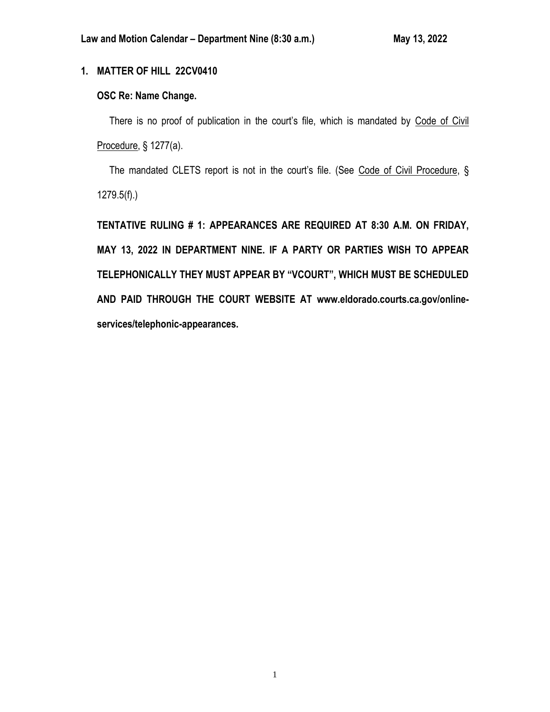# **1. MATTER OF HILL 22CV0410**

# **OSC Re: Name Change.**

There is no proof of publication in the court's file, which is mandated by Code of Civil Procedure, § 1277(a).

The mandated CLETS report is not in the court's file. (See Code of Civil Procedure, § 1279.5(f).)

**TENTATIVE RULING # 1: APPEARANCES ARE REQUIRED AT 8:30 A.M. ON FRIDAY, MAY 13, 2022 IN DEPARTMENT NINE. IF A PARTY OR PARTIES WISH TO APPEAR TELEPHONICALLY THEY MUST APPEAR BY "VCOURT", WHICH MUST BE SCHEDULED AND PAID THROUGH THE COURT WEBSITE AT www.eldorado.courts.ca.gov/onlineservices/telephonic-appearances.**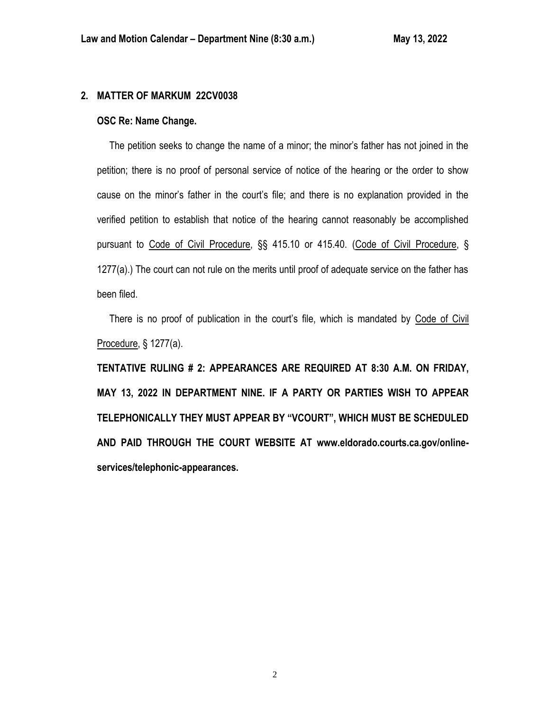# **2. MATTER OF MARKUM 22CV0038**

## **OSC Re: Name Change.**

 The petition seeks to change the name of a minor; the minor's father has not joined in the petition; there is no proof of personal service of notice of the hearing or the order to show cause on the minor's father in the court's file; and there is no explanation provided in the verified petition to establish that notice of the hearing cannot reasonably be accomplished pursuant to Code of Civil Procedure, §§ 415.10 or 415.40. (Code of Civil Procedure, § 1277(a).) The court can not rule on the merits until proof of adequate service on the father has been filed.

 There is no proof of publication in the court's file, which is mandated by Code of Civil Procedure, § 1277(a).

**TENTATIVE RULING # 2: APPEARANCES ARE REQUIRED AT 8:30 A.M. ON FRIDAY, MAY 13, 2022 IN DEPARTMENT NINE. IF A PARTY OR PARTIES WISH TO APPEAR TELEPHONICALLY THEY MUST APPEAR BY "VCOURT", WHICH MUST BE SCHEDULED AND PAID THROUGH THE COURT WEBSITE AT www.eldorado.courts.ca.gov/onlineservices/telephonic-appearances.**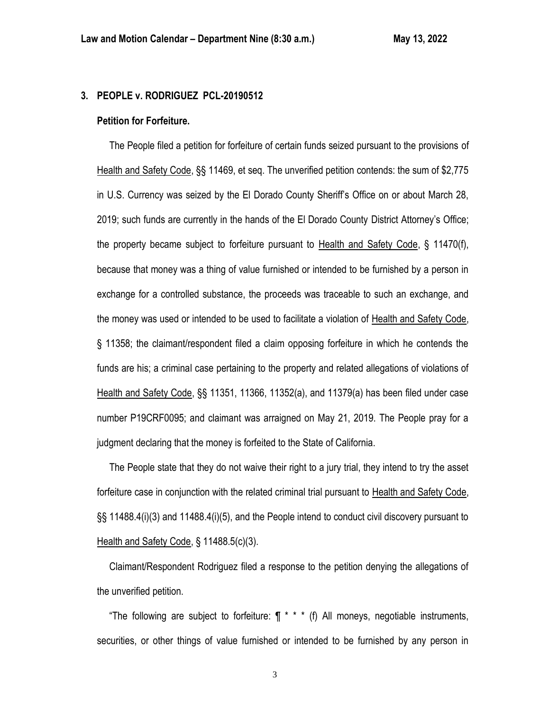## **3. PEOPLE v. RODRIGUEZ PCL-20190512**

#### **Petition for Forfeiture.**

 The People filed a petition for forfeiture of certain funds seized pursuant to the provisions of Health and Safety Code, §§ 11469, et seq. The unverified petition contends: the sum of \$2,775 in U.S. Currency was seized by the El Dorado County Sheriff's Office on or about March 28, 2019; such funds are currently in the hands of the El Dorado County District Attorney's Office; the property became subject to forfeiture pursuant to Health and Safety Code, § 11470(f), because that money was a thing of value furnished or intended to be furnished by a person in exchange for a controlled substance, the proceeds was traceable to such an exchange, and the money was used or intended to be used to facilitate a violation of Health and Safety Code, § 11358; the claimant/respondent filed a claim opposing forfeiture in which he contends the funds are his; a criminal case pertaining to the property and related allegations of violations of Health and Safety Code, §§ 11351, 11366, 11352(a), and 11379(a) has been filed under case number P19CRF0095; and claimant was arraigned on May 21, 2019. The People pray for a judgment declaring that the money is forfeited to the State of California.

 The People state that they do not waive their right to a jury trial, they intend to try the asset forfeiture case in conjunction with the related criminal trial pursuant to Health and Safety Code, §§ 11488.4(i)(3) and 11488.4(i)(5), and the People intend to conduct civil discovery pursuant to Health and Safety Code, § 11488.5(c)(3).

 Claimant/Respondent Rodriguez filed a response to the petition denying the allegations of the unverified petition.

"The following are subject to forfeiture:  $\P$  \* \* \* (f) All moneys, negotiable instruments, securities, or other things of value furnished or intended to be furnished by any person in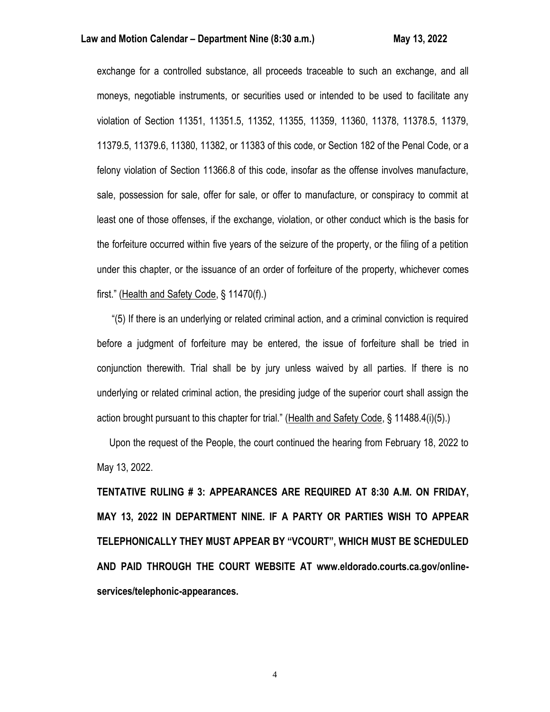## **Law and Motion Calendar – Department Nine (8:30 a.m.) May 13, 2022**

exchange for a controlled substance, all proceeds traceable to such an exchange, and all moneys, negotiable instruments, or securities used or intended to be used to facilitate any violation of Section 11351, 11351.5, 11352, 11355, 11359, 11360, 11378, 11378.5, 11379, 11379.5, 11379.6, 11380, 11382, or 11383 of this code, or Section 182 of the Penal Code, or a felony violation of Section 11366.8 of this code, insofar as the offense involves manufacture, sale, possession for sale, offer for sale, or offer to manufacture, or conspiracy to commit at least one of those offenses, if the exchange, violation, or other conduct which is the basis for the forfeiture occurred within five years of the seizure of the property, or the filing of a petition under this chapter, or the issuance of an order of forfeiture of the property, whichever comes first." (Health and Safety Code, § 11470(f).)

 "(5) If there is an underlying or related criminal action, and a criminal conviction is required before a judgment of forfeiture may be entered, the issue of forfeiture shall be tried in conjunction therewith. Trial shall be by jury unless waived by all parties. If there is no underlying or related criminal action, the presiding judge of the superior court shall assign the action brought pursuant to this chapter for trial." (Health and Safety Code, § 11488.4(i)(5).)

 Upon the request of the People, the court continued the hearing from February 18, 2022 to May 13, 2022.

**TENTATIVE RULING # 3: APPEARANCES ARE REQUIRED AT 8:30 A.M. ON FRIDAY, MAY 13, 2022 IN DEPARTMENT NINE. IF A PARTY OR PARTIES WISH TO APPEAR TELEPHONICALLY THEY MUST APPEAR BY "VCOURT", WHICH MUST BE SCHEDULED AND PAID THROUGH THE COURT WEBSITE AT www.eldorado.courts.ca.gov/onlineservices/telephonic-appearances.**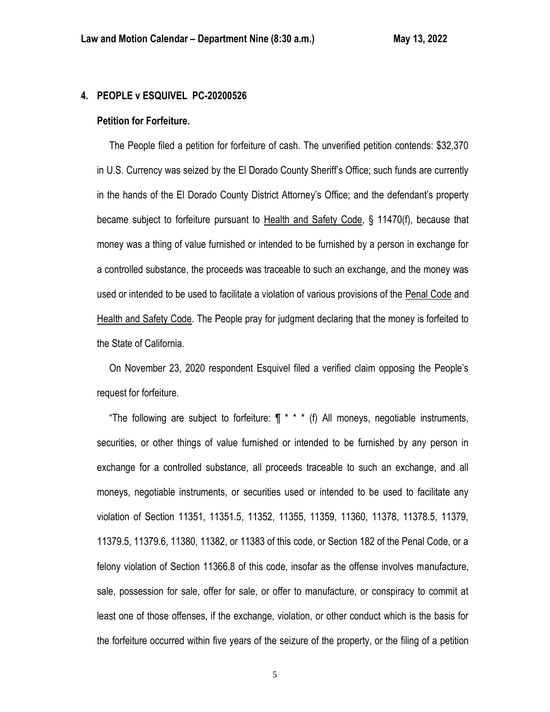## **4. PEOPLE v ESQUIVEL PC-20200526**

#### **Petition for Forfeiture.**

 The People filed a petition for forfeiture of cash. The unverified petition contends: \$32,370 in U.S. Currency was seized by the El Dorado County Sheriff's Office; such funds are currently in the hands of the El Dorado County District Attorney's Office; and the defendant's property became subject to forfeiture pursuant to Health and Safety Code, § 11470(f), because that money was a thing of value furnished or intended to be furnished by a person in exchange for a controlled substance, the proceeds was traceable to such an exchange, and the money was used or intended to be used to facilitate a violation of various provisions of the Penal Code and Health and Safety Code. The People pray for judgment declaring that the money is forfeited to the State of California.

 On November 23, 2020 respondent Esquivel filed a verified claim opposing the People's request for forfeiture.

"The following are subject to forfeiture:  $\P$  \* \* \* (f) All moneys, negotiable instruments, securities, or other things of value furnished or intended to be furnished by any person in exchange for a controlled substance, all proceeds traceable to such an exchange, and all moneys, negotiable instruments, or securities used or intended to be used to facilitate any violation of Section 11351, 11351.5, 11352, 11355, 11359, 11360, 11378, 11378.5, 11379, 11379.5, 11379.6, 11380, 11382, or 11383 of this code, or Section 182 of the Penal Code, or a felony violation of Section 11366.8 of this code, insofar as the offense involves manufacture, sale, possession for sale, offer for sale, or offer to manufacture, or conspiracy to commit at least one of those offenses, if the exchange, violation, or other conduct which is the basis for the forfeiture occurred within five years of the seizure of the property, or the filing of a petition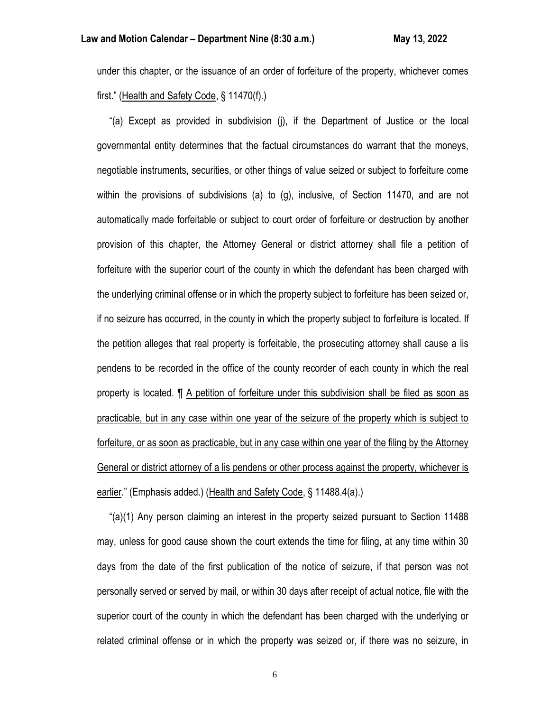under this chapter, or the issuance of an order of forfeiture of the property, whichever comes first." (Health and Safety Code, § 11470(f).)

 "(a) Except as provided in subdivision (j), if the Department of Justice or the local governmental entity determines that the factual circumstances do warrant that the moneys, negotiable instruments, securities, or other things of value seized or subject to forfeiture come within the provisions of subdivisions (a) to (g), inclusive, of Section 11470, and are not automatically made forfeitable or subject to court order of forfeiture or destruction by another provision of this chapter, the Attorney General or district attorney shall file a petition of forfeiture with the superior court of the county in which the defendant has been charged with the underlying criminal offense or in which the property subject to forfeiture has been seized or, if no seizure has occurred, in the county in which the property subject to forfeiture is located. If the petition alleges that real property is forfeitable, the prosecuting attorney shall cause a lis pendens to be recorded in the office of the county recorder of each county in which the real property is located. ¶ A petition of forfeiture under this subdivision shall be filed as soon as practicable, but in any case within one year of the seizure of the property which is subject to forfeiture, or as soon as practicable, but in any case within one year of the filing by the Attorney General or district attorney of a lis pendens or other process against the property, whichever is earlier." (Emphasis added.) (Health and Safety Code, § 11488.4(a).)

 "(a)(1) Any person claiming an interest in the property seized pursuant to Section 11488 may, unless for good cause shown the court extends the time for filing, at any time within 30 days from the date of the first publication of the notice of seizure, if that person was not personally served or served by mail, or within 30 days after receipt of actual notice, file with the superior court of the county in which the defendant has been charged with the underlying or related criminal offense or in which the property was seized or, if there was no seizure, in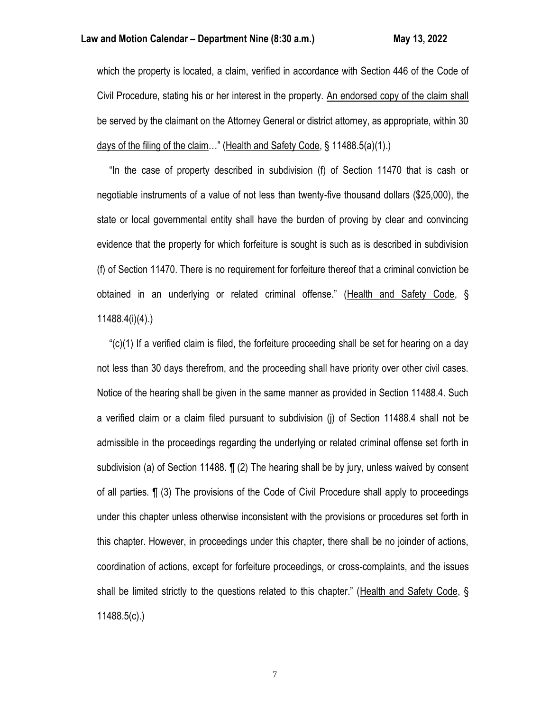which the property is located, a claim, verified in accordance with Section 446 of the Code of Civil Procedure, stating his or her interest in the property. An endorsed copy of the claim shall be served by the claimant on the Attorney General or district attorney, as appropriate, within 30 days of the filing of the claim…" (Health and Safety Code, § 11488.5(a)(1).)

 "In the case of property described in subdivision (f) of Section 11470 that is cash or negotiable instruments of a value of not less than twenty-five thousand dollars (\$25,000), the state or local governmental entity shall have the burden of proving by clear and convincing evidence that the property for which forfeiture is sought is such as is described in subdivision (f) of Section 11470. There is no requirement for forfeiture thereof that a criminal conviction be obtained in an underlying or related criminal offense." (Health and Safety Code, § 11488.4(i)(4).)

" $(c)(1)$  If a verified claim is filed, the forfeiture proceeding shall be set for hearing on a day not less than 30 days therefrom, and the proceeding shall have priority over other civil cases. Notice of the hearing shall be given in the same manner as provided in Section 11488.4. Such a verified claim or a claim filed pursuant to subdivision (j) of Section 11488.4 shall not be admissible in the proceedings regarding the underlying or related criminal offense set forth in subdivision (a) of Section 11488. ¶ (2) The hearing shall be by jury, unless waived by consent of all parties. ¶ (3) The provisions of the Code of Civil Procedure shall apply to proceedings under this chapter unless otherwise inconsistent with the provisions or procedures set forth in this chapter. However, in proceedings under this chapter, there shall be no joinder of actions, coordination of actions, except for forfeiture proceedings, or cross-complaints, and the issues shall be limited strictly to the questions related to this chapter." (Health and Safety Code, § 11488.5(c).)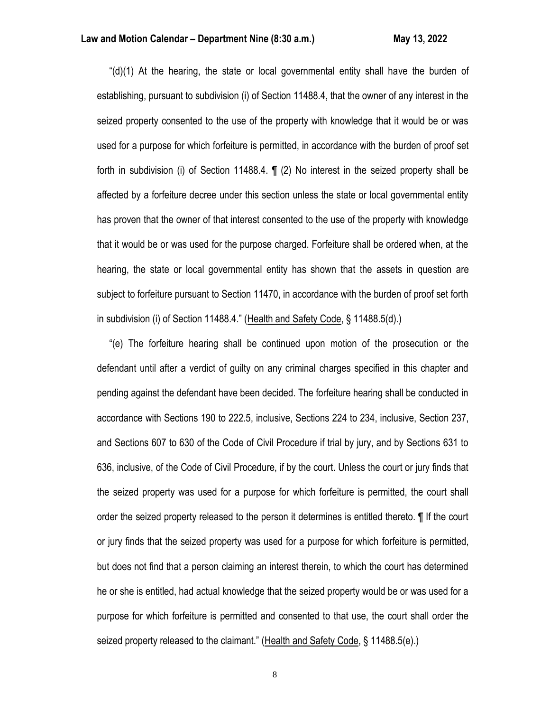" $(d)(1)$  At the hearing, the state or local governmental entity shall have the burden of establishing, pursuant to subdivision (i) of Section 11488.4, that the owner of any interest in the seized property consented to the use of the property with knowledge that it would be or was used for a purpose for which forfeiture is permitted, in accordance with the burden of proof set forth in subdivision (i) of Section 11488.4. ¶ (2) No interest in the seized property shall be affected by a forfeiture decree under this section unless the state or local governmental entity has proven that the owner of that interest consented to the use of the property with knowledge that it would be or was used for the purpose charged. Forfeiture shall be ordered when, at the hearing, the state or local governmental entity has shown that the assets in question are subject to forfeiture pursuant to Section 11470, in accordance with the burden of proof set forth in subdivision (i) of Section 11488.4." (Health and Safety Code, § 11488.5(d).)

 "(e) The forfeiture hearing shall be continued upon motion of the prosecution or the defendant until after a verdict of guilty on any criminal charges specified in this chapter and pending against the defendant have been decided. The forfeiture hearing shall be conducted in accordance with Sections 190 to 222.5, inclusive, Sections 224 to 234, inclusive, Section 237, and Sections 607 to 630 of the Code of Civil Procedure if trial by jury, and by Sections 631 to 636, inclusive, of the Code of Civil Procedure, if by the court. Unless the court or jury finds that the seized property was used for a purpose for which forfeiture is permitted, the court shall order the seized property released to the person it determines is entitled thereto. ¶ If the court or jury finds that the seized property was used for a purpose for which forfeiture is permitted, but does not find that a person claiming an interest therein, to which the court has determined he or she is entitled, had actual knowledge that the seized property would be or was used for a purpose for which forfeiture is permitted and consented to that use, the court shall order the seized property released to the claimant." (Health and Safety Code, § 11488.5(e).)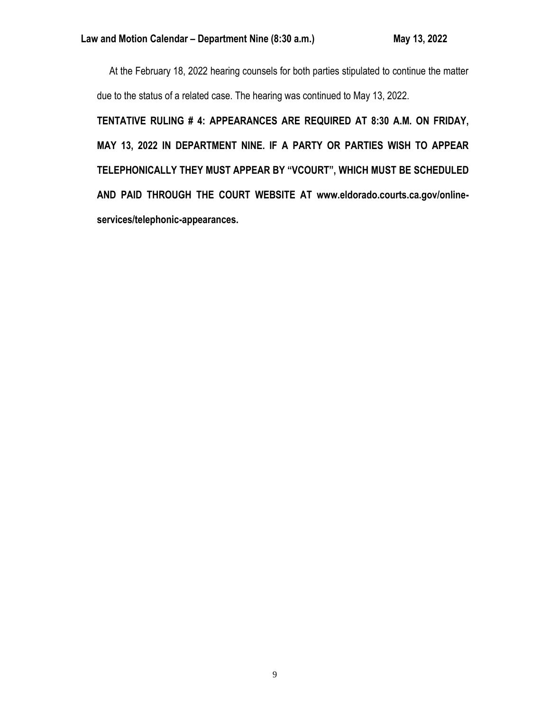At the February 18, 2022 hearing counsels for both parties stipulated to continue the matter due to the status of a related case. The hearing was continued to May 13, 2022.

**TENTATIVE RULING # 4: APPEARANCES ARE REQUIRED AT 8:30 A.M. ON FRIDAY, MAY 13, 2022 IN DEPARTMENT NINE. IF A PARTY OR PARTIES WISH TO APPEAR TELEPHONICALLY THEY MUST APPEAR BY "VCOURT", WHICH MUST BE SCHEDULED AND PAID THROUGH THE COURT WEBSITE AT www.eldorado.courts.ca.gov/onlineservices/telephonic-appearances.**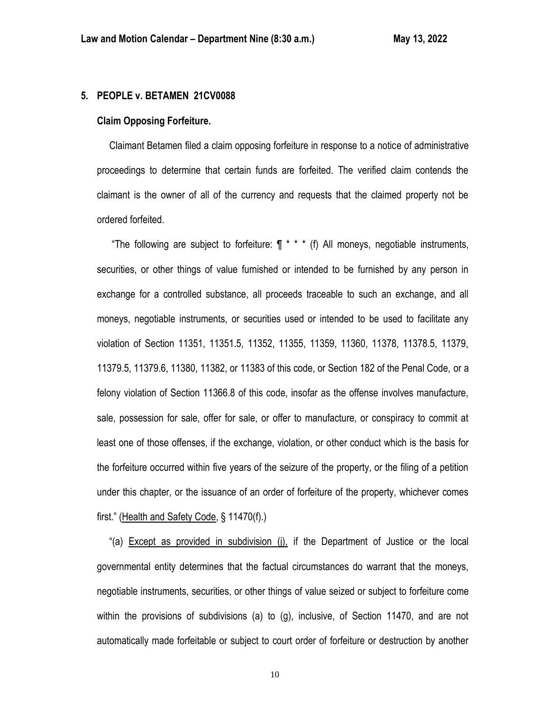## **5. PEOPLE v. BETAMEN 21CV0088**

## **Claim Opposing Forfeiture.**

 Claimant Betamen filed a claim opposing forfeiture in response to a notice of administrative proceedings to determine that certain funds are forfeited. The verified claim contends the claimant is the owner of all of the currency and requests that the claimed property not be ordered forfeited.

"The following are subject to forfeiture:  $\P$  \* \* \* (f) All moneys, negotiable instruments, securities, or other things of value furnished or intended to be furnished by any person in exchange for a controlled substance, all proceeds traceable to such an exchange, and all moneys, negotiable instruments, or securities used or intended to be used to facilitate any violation of Section 11351, 11351.5, 11352, 11355, 11359, 11360, 11378, 11378.5, 11379, 11379.5, 11379.6, 11380, 11382, or 11383 of this code, or Section 182 of the Penal Code, or a felony violation of Section 11366.8 of this code, insofar as the offense involves manufacture, sale, possession for sale, offer for sale, or offer to manufacture, or conspiracy to commit at least one of those offenses, if the exchange, violation, or other conduct which is the basis for the forfeiture occurred within five years of the seizure of the property, or the filing of a petition under this chapter, or the issuance of an order of forfeiture of the property, whichever comes first." (Health and Safety Code, § 11470(f).)

 "(a) Except as provided in subdivision (j), if the Department of Justice or the local governmental entity determines that the factual circumstances do warrant that the moneys, negotiable instruments, securities, or other things of value seized or subject to forfeiture come within the provisions of subdivisions (a) to (g), inclusive, of Section 11470, and are not automatically made forfeitable or subject to court order of forfeiture or destruction by another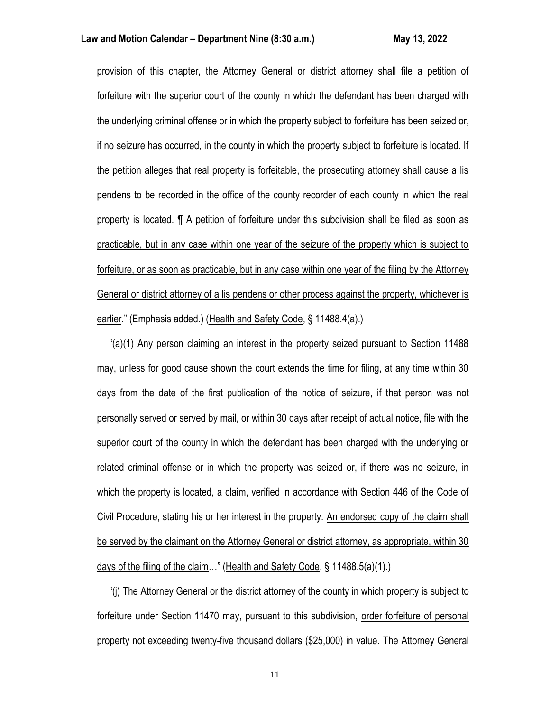## **Law and Motion Calendar – Department Nine (8:30 a.m.) May 13, 2022**

provision of this chapter, the Attorney General or district attorney shall file a petition of forfeiture with the superior court of the county in which the defendant has been charged with the underlying criminal offense or in which the property subject to forfeiture has been seized or, if no seizure has occurred, in the county in which the property subject to forfeiture is located. If the petition alleges that real property is forfeitable, the prosecuting attorney shall cause a lis pendens to be recorded in the office of the county recorder of each county in which the real property is located. ¶ A petition of forfeiture under this subdivision shall be filed as soon as practicable, but in any case within one year of the seizure of the property which is subject to forfeiture, or as soon as practicable, but in any case within one year of the filing by the Attorney General or district attorney of a lis pendens or other process against the property, whichever is earlier." (Emphasis added.) (Health and Safety Code, § 11488.4(a).)

 "(a)(1) Any person claiming an interest in the property seized pursuant to Section 11488 may, unless for good cause shown the court extends the time for filing, at any time within 30 days from the date of the first publication of the notice of seizure, if that person was not personally served or served by mail, or within 30 days after receipt of actual notice, file with the superior court of the county in which the defendant has been charged with the underlying or related criminal offense or in which the property was seized or, if there was no seizure, in which the property is located, a claim, verified in accordance with Section 446 of the Code of Civil Procedure, stating his or her interest in the property. An endorsed copy of the claim shall be served by the claimant on the Attorney General or district attorney, as appropriate, within 30 days of the filing of the claim…" (Health and Safety Code, § 11488.5(a)(1).)

 "(j) The Attorney General or the district attorney of the county in which property is subject to forfeiture under Section 11470 may, pursuant to this subdivision, order forfeiture of personal property not exceeding twenty-five thousand dollars (\$25,000) in value. The Attorney General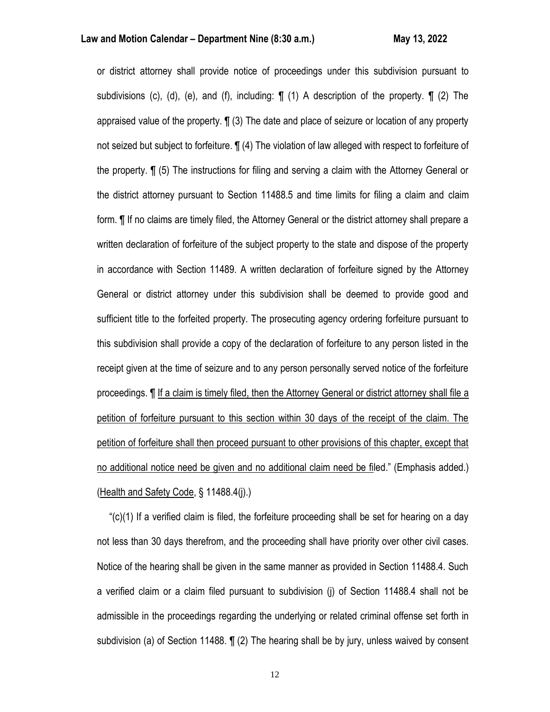or district attorney shall provide notice of proceedings under this subdivision pursuant to subdivisions (c), (d), (e), and (f), including:  $\P$  (1) A description of the property.  $\P$  (2) The appraised value of the property. ¶ (3) The date and place of seizure or location of any property not seized but subject to forfeiture. ¶ (4) The violation of law alleged with respect to forfeiture of the property. ¶ (5) The instructions for filing and serving a claim with the Attorney General or the district attorney pursuant to Section 11488.5 and time limits for filing a claim and claim form. ¶ If no claims are timely filed, the Attorney General or the district attorney shall prepare a written declaration of forfeiture of the subject property to the state and dispose of the property in accordance with Section 11489. A written declaration of forfeiture signed by the Attorney General or district attorney under this subdivision shall be deemed to provide good and sufficient title to the forfeited property. The prosecuting agency ordering forfeiture pursuant to this subdivision shall provide a copy of the declaration of forfeiture to any person listed in the receipt given at the time of seizure and to any person personally served notice of the forfeiture proceedings. ¶ If a claim is timely filed, then the Attorney General or district attorney shall file a petition of forfeiture pursuant to this section within 30 days of the receipt of the claim. The petition of forfeiture shall then proceed pursuant to other provisions of this chapter, except that no additional notice need be given and no additional claim need be filed." (Emphasis added.) (Health and Safety Code, § 11488.4(j).)

 "(c)(1) If a verified claim is filed, the forfeiture proceeding shall be set for hearing on a day not less than 30 days therefrom, and the proceeding shall have priority over other civil cases. Notice of the hearing shall be given in the same manner as provided in Section 11488.4. Such a verified claim or a claim filed pursuant to subdivision (j) of Section 11488.4 shall not be admissible in the proceedings regarding the underlying or related criminal offense set forth in subdivision (a) of Section 11488. ¶ (2) The hearing shall be by jury, unless waived by consent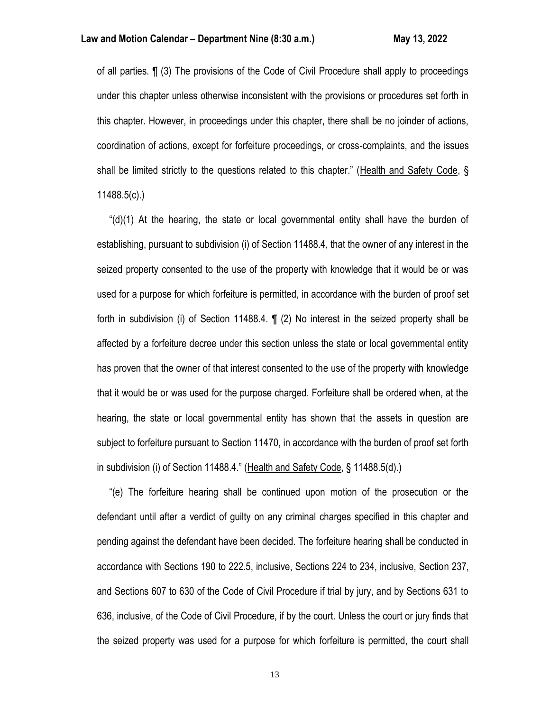of all parties. ¶ (3) The provisions of the Code of Civil Procedure shall apply to proceedings under this chapter unless otherwise inconsistent with the provisions or procedures set forth in this chapter. However, in proceedings under this chapter, there shall be no joinder of actions, coordination of actions, except for forfeiture proceedings, or cross-complaints, and the issues shall be limited strictly to the questions related to this chapter." (Health and Safety Code, § 11488.5(c).)

 "(d)(1) At the hearing, the state or local governmental entity shall have the burden of establishing, pursuant to subdivision (i) of Section 11488.4, that the owner of any interest in the seized property consented to the use of the property with knowledge that it would be or was used for a purpose for which forfeiture is permitted, in accordance with the burden of proof set forth in subdivision (i) of Section 11488.4. ¶ (2) No interest in the seized property shall be affected by a forfeiture decree under this section unless the state or local governmental entity has proven that the owner of that interest consented to the use of the property with knowledge that it would be or was used for the purpose charged. Forfeiture shall be ordered when, at the hearing, the state or local governmental entity has shown that the assets in question are subject to forfeiture pursuant to Section 11470, in accordance with the burden of proof set forth in subdivision (i) of Section 11488.4." (Health and Safety Code, § 11488.5(d).)

 "(e) The forfeiture hearing shall be continued upon motion of the prosecution or the defendant until after a verdict of guilty on any criminal charges specified in this chapter and pending against the defendant have been decided. The forfeiture hearing shall be conducted in accordance with Sections 190 to 222.5, inclusive, Sections 224 to 234, inclusive, Section 237, and Sections 607 to 630 of the Code of Civil Procedure if trial by jury, and by Sections 631 to 636, inclusive, of the Code of Civil Procedure, if by the court. Unless the court or jury finds that the seized property was used for a purpose for which forfeiture is permitted, the court shall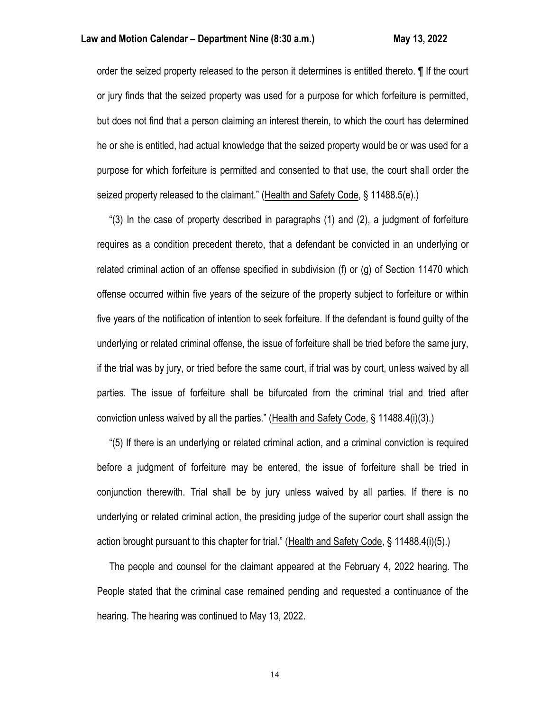order the seized property released to the person it determines is entitled thereto. ¶ If the court or jury finds that the seized property was used for a purpose for which forfeiture is permitted, but does not find that a person claiming an interest therein, to which the court has determined he or she is entitled, had actual knowledge that the seized property would be or was used for a purpose for which forfeiture is permitted and consented to that use, the court shall order the seized property released to the claimant." (Health and Safety Code, § 11488.5(e).)

 "(3) In the case of property described in paragraphs (1) and (2), a judgment of forfeiture requires as a condition precedent thereto, that a defendant be convicted in an underlying or related criminal action of an offense specified in subdivision (f) or (g) of Section 11470 which offense occurred within five years of the seizure of the property subject to forfeiture or within five years of the notification of intention to seek forfeiture. If the defendant is found guilty of the underlying or related criminal offense, the issue of forfeiture shall be tried before the same jury, if the trial was by jury, or tried before the same court, if trial was by court, unless waived by all parties. The issue of forfeiture shall be bifurcated from the criminal trial and tried after conviction unless waived by all the parties." (Health and Safety Code, § 11488.4(i)(3).)

 "(5) If there is an underlying or related criminal action, and a criminal conviction is required before a judgment of forfeiture may be entered, the issue of forfeiture shall be tried in conjunction therewith. Trial shall be by jury unless waived by all parties. If there is no underlying or related criminal action, the presiding judge of the superior court shall assign the action brought pursuant to this chapter for trial." (Health and Safety Code, § 11488.4(i)(5).)

 The people and counsel for the claimant appeared at the February 4, 2022 hearing. The People stated that the criminal case remained pending and requested a continuance of the hearing. The hearing was continued to May 13, 2022.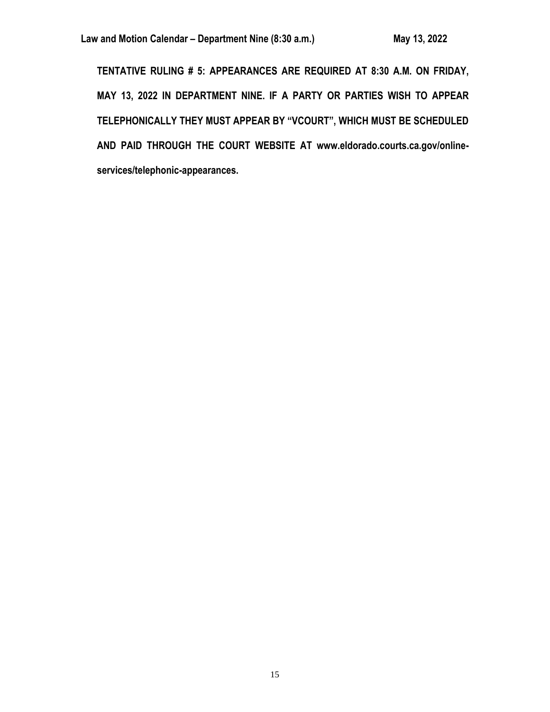**TENTATIVE RULING # 5: APPEARANCES ARE REQUIRED AT 8:30 A.M. ON FRIDAY, MAY 13, 2022 IN DEPARTMENT NINE. IF A PARTY OR PARTIES WISH TO APPEAR TELEPHONICALLY THEY MUST APPEAR BY "VCOURT", WHICH MUST BE SCHEDULED AND PAID THROUGH THE COURT WEBSITE AT www.eldorado.courts.ca.gov/onlineservices/telephonic-appearances.**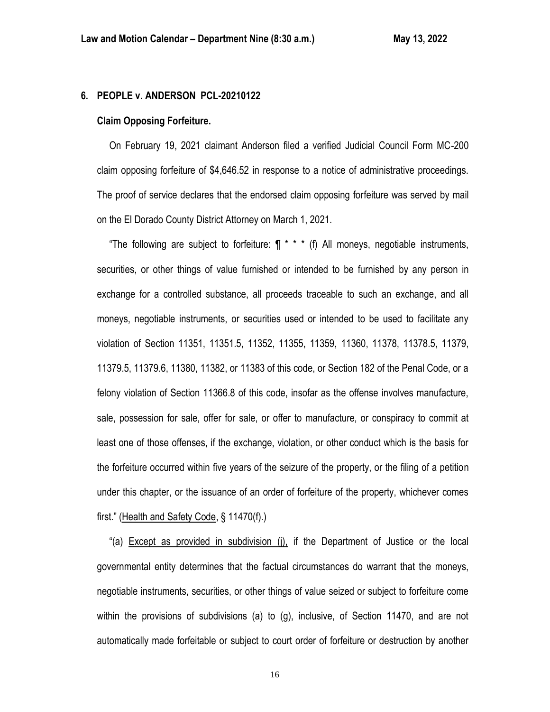## **6. PEOPLE v. ANDERSON PCL-20210122**

## **Claim Opposing Forfeiture.**

 On February 19, 2021 claimant Anderson filed a verified Judicial Council Form MC-200 claim opposing forfeiture of \$4,646.52 in response to a notice of administrative proceedings. The proof of service declares that the endorsed claim opposing forfeiture was served by mail on the El Dorado County District Attorney on March 1, 2021.

"The following are subject to forfeiture:  $\P$  \* \* \* (f) All moneys, negotiable instruments, securities, or other things of value furnished or intended to be furnished by any person in exchange for a controlled substance, all proceeds traceable to such an exchange, and all moneys, negotiable instruments, or securities used or intended to be used to facilitate any violation of Section 11351, 11351.5, 11352, 11355, 11359, 11360, 11378, 11378.5, 11379, 11379.5, 11379.6, 11380, 11382, or 11383 of this code, or Section 182 of the Penal Code, or a felony violation of Section 11366.8 of this code, insofar as the offense involves manufacture, sale, possession for sale, offer for sale, or offer to manufacture, or conspiracy to commit at least one of those offenses, if the exchange, violation, or other conduct which is the basis for the forfeiture occurred within five years of the seizure of the property, or the filing of a petition under this chapter, or the issuance of an order of forfeiture of the property, whichever comes first." (Health and Safety Code, § 11470(f).)

 "(a) Except as provided in subdivision (j), if the Department of Justice or the local governmental entity determines that the factual circumstances do warrant that the moneys, negotiable instruments, securities, or other things of value seized or subject to forfeiture come within the provisions of subdivisions (a) to (g), inclusive, of Section 11470, and are not automatically made forfeitable or subject to court order of forfeiture or destruction by another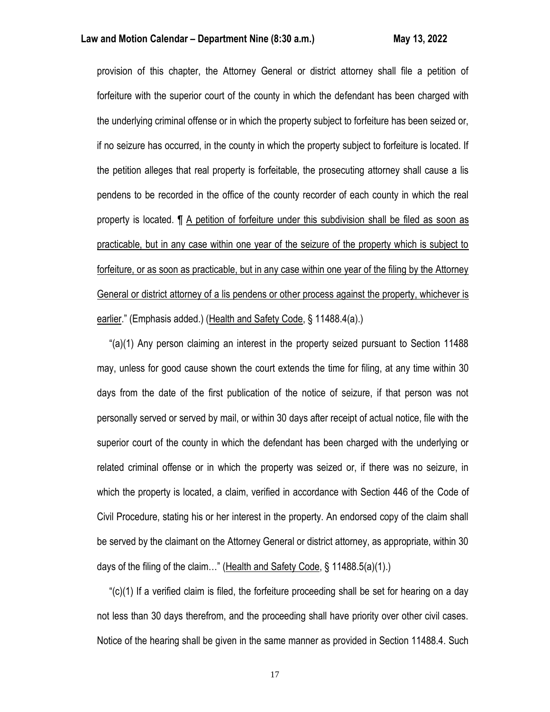## **Law and Motion Calendar – Department Nine (8:30 a.m.) May 13, 2022**

provision of this chapter, the Attorney General or district attorney shall file a petition of forfeiture with the superior court of the county in which the defendant has been charged with the underlying criminal offense or in which the property subject to forfeiture has been seized or, if no seizure has occurred, in the county in which the property subject to forfeiture is located. If the petition alleges that real property is forfeitable, the prosecuting attorney shall cause a lis pendens to be recorded in the office of the county recorder of each county in which the real property is located. ¶ A petition of forfeiture under this subdivision shall be filed as soon as practicable, but in any case within one year of the seizure of the property which is subject to forfeiture, or as soon as practicable, but in any case within one year of the filing by the Attorney General or district attorney of a lis pendens or other process against the property, whichever is earlier." (Emphasis added.) (Health and Safety Code, § 11488.4(a).)

 "(a)(1) Any person claiming an interest in the property seized pursuant to Section 11488 may, unless for good cause shown the court extends the time for filing, at any time within 30 days from the date of the first publication of the notice of seizure, if that person was not personally served or served by mail, or within 30 days after receipt of actual notice, file with the superior court of the county in which the defendant has been charged with the underlying or related criminal offense or in which the property was seized or, if there was no seizure, in which the property is located, a claim, verified in accordance with Section 446 of the Code of Civil Procedure, stating his or her interest in the property. An endorsed copy of the claim shall be served by the claimant on the Attorney General or district attorney, as appropriate, within 30 days of the filing of the claim…" (Health and Safety Code, § 11488.5(a)(1).)

 "(c)(1) If a verified claim is filed, the forfeiture proceeding shall be set for hearing on a day not less than 30 days therefrom, and the proceeding shall have priority over other civil cases. Notice of the hearing shall be given in the same manner as provided in Section 11488.4. Such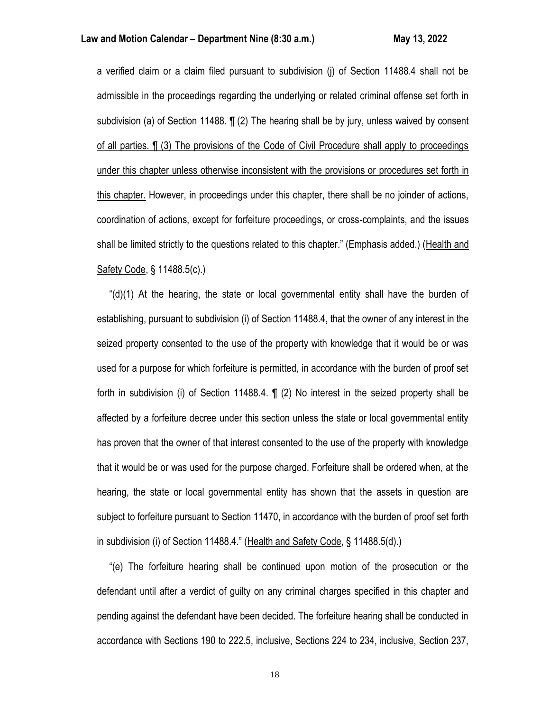a verified claim or a claim filed pursuant to subdivision (j) of Section 11488.4 shall not be admissible in the proceedings regarding the underlying or related criminal offense set forth in subdivision (a) of Section 11488. ¶ (2) The hearing shall be by jury, unless waived by consent of all parties. ¶ (3) The provisions of the Code of Civil Procedure shall apply to proceedings under this chapter unless otherwise inconsistent with the provisions or procedures set forth in this chapter. However, in proceedings under this chapter, there shall be no joinder of actions, coordination of actions, except for forfeiture proceedings, or cross-complaints, and the issues shall be limited strictly to the questions related to this chapter." (Emphasis added.) (Health and Safety Code, § 11488.5(c).)

 "(d)(1) At the hearing, the state or local governmental entity shall have the burden of establishing, pursuant to subdivision (i) of Section 11488.4, that the owner of any interest in the seized property consented to the use of the property with knowledge that it would be or was used for a purpose for which forfeiture is permitted, in accordance with the burden of proof set forth in subdivision (i) of Section 11488.4. ¶ (2) No interest in the seized property shall be affected by a forfeiture decree under this section unless the state or local governmental entity has proven that the owner of that interest consented to the use of the property with knowledge that it would be or was used for the purpose charged. Forfeiture shall be ordered when, at the hearing, the state or local governmental entity has shown that the assets in question are subject to forfeiture pursuant to Section 11470, in accordance with the burden of proof set forth in subdivision (i) of Section 11488.4." (Health and Safety Code, § 11488.5(d).)

 "(e) The forfeiture hearing shall be continued upon motion of the prosecution or the defendant until after a verdict of guilty on any criminal charges specified in this chapter and pending against the defendant have been decided. The forfeiture hearing shall be conducted in accordance with Sections 190 to 222.5, inclusive, Sections 224 to 234, inclusive, Section 237,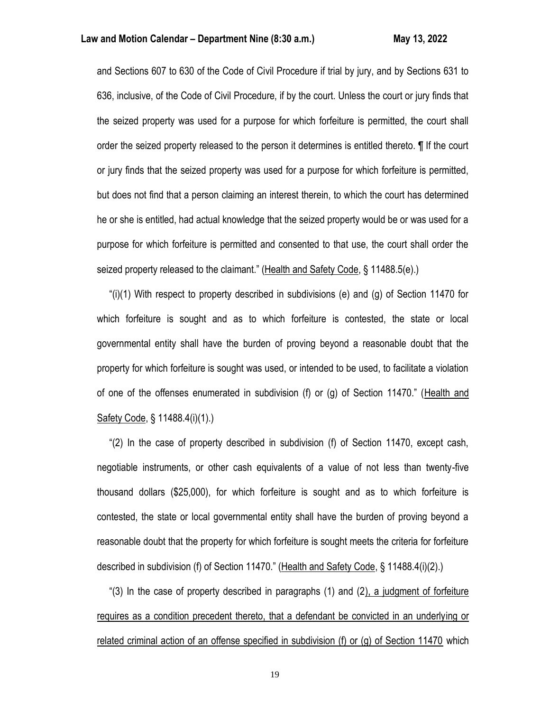and Sections 607 to 630 of the Code of Civil Procedure if trial by jury, and by Sections 631 to 636, inclusive, of the Code of Civil Procedure, if by the court. Unless the court or jury finds that the seized property was used for a purpose for which forfeiture is permitted, the court shall order the seized property released to the person it determines is entitled thereto. ¶ If the court or jury finds that the seized property was used for a purpose for which forfeiture is permitted, but does not find that a person claiming an interest therein, to which the court has determined he or she is entitled, had actual knowledge that the seized property would be or was used for a purpose for which forfeiture is permitted and consented to that use, the court shall order the seized property released to the claimant." (Health and Safety Code, § 11488.5(e).)

"(i)(1) With respect to property described in subdivisions (e) and (g) of Section 11470 for which forfeiture is sought and as to which forfeiture is contested, the state or local governmental entity shall have the burden of proving beyond a reasonable doubt that the property for which forfeiture is sought was used, or intended to be used, to facilitate a violation of one of the offenses enumerated in subdivision (f) or (g) of Section 11470." (Health and Safety Code, § 11488.4(i)(1).)

 "(2) In the case of property described in subdivision (f) of Section 11470, except cash, negotiable instruments, or other cash equivalents of a value of not less than twenty-five thousand dollars (\$25,000), for which forfeiture is sought and as to which forfeiture is contested, the state or local governmental entity shall have the burden of proving beyond a reasonable doubt that the property for which forfeiture is sought meets the criteria for forfeiture described in subdivision (f) of Section 11470." (Health and Safety Code, § 11488.4(i)(2).)

 "(3) In the case of property described in paragraphs (1) and (2), a judgment of forfeiture requires as a condition precedent thereto, that a defendant be convicted in an underlying or related criminal action of an offense specified in subdivision (f) or (g) of Section 11470 which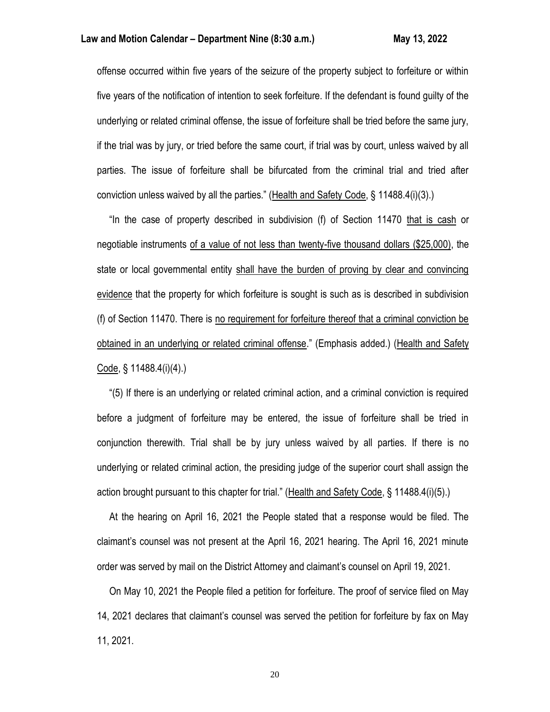offense occurred within five years of the seizure of the property subject to forfeiture or within five years of the notification of intention to seek forfeiture. If the defendant is found guilty of the underlying or related criminal offense, the issue of forfeiture shall be tried before the same jury, if the trial was by jury, or tried before the same court, if trial was by court, unless waived by all parties. The issue of forfeiture shall be bifurcated from the criminal trial and tried after conviction unless waived by all the parties." (Health and Safety Code, § 11488.4(i)(3).)

 "In the case of property described in subdivision (f) of Section 11470 that is cash or negotiable instruments of a value of not less than twenty-five thousand dollars (\$25,000), the state or local governmental entity shall have the burden of proving by clear and convincing evidence that the property for which forfeiture is sought is such as is described in subdivision (f) of Section 11470. There is no requirement for forfeiture thereof that a criminal conviction be obtained in an underlying or related criminal offense." (Emphasis added.) (Health and Safety Code, § 11488.4(i)(4).)

 "(5) If there is an underlying or related criminal action, and a criminal conviction is required before a judgment of forfeiture may be entered, the issue of forfeiture shall be tried in conjunction therewith. Trial shall be by jury unless waived by all parties. If there is no underlying or related criminal action, the presiding judge of the superior court shall assign the action brought pursuant to this chapter for trial." (Health and Safety Code, § 11488.4(i)(5).)

 At the hearing on April 16, 2021 the People stated that a response would be filed. The claimant's counsel was not present at the April 16, 2021 hearing. The April 16, 2021 minute order was served by mail on the District Attorney and claimant's counsel on April 19, 2021.

 On May 10, 2021 the People filed a petition for forfeiture. The proof of service filed on May 14, 2021 declares that claimant's counsel was served the petition for forfeiture by fax on May 11, 2021.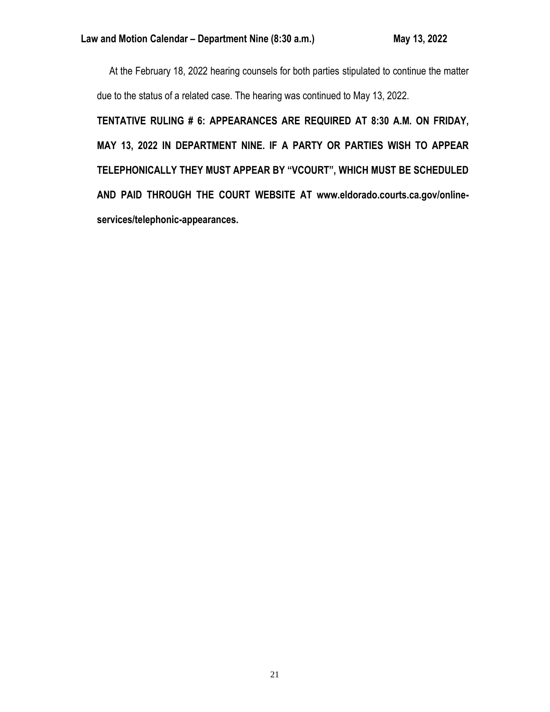At the February 18, 2022 hearing counsels for both parties stipulated to continue the matter due to the status of a related case. The hearing was continued to May 13, 2022.

**TENTATIVE RULING # 6: APPEARANCES ARE REQUIRED AT 8:30 A.M. ON FRIDAY, MAY 13, 2022 IN DEPARTMENT NINE. IF A PARTY OR PARTIES WISH TO APPEAR TELEPHONICALLY THEY MUST APPEAR BY "VCOURT", WHICH MUST BE SCHEDULED AND PAID THROUGH THE COURT WEBSITE AT www.eldorado.courts.ca.gov/onlineservices/telephonic-appearances.**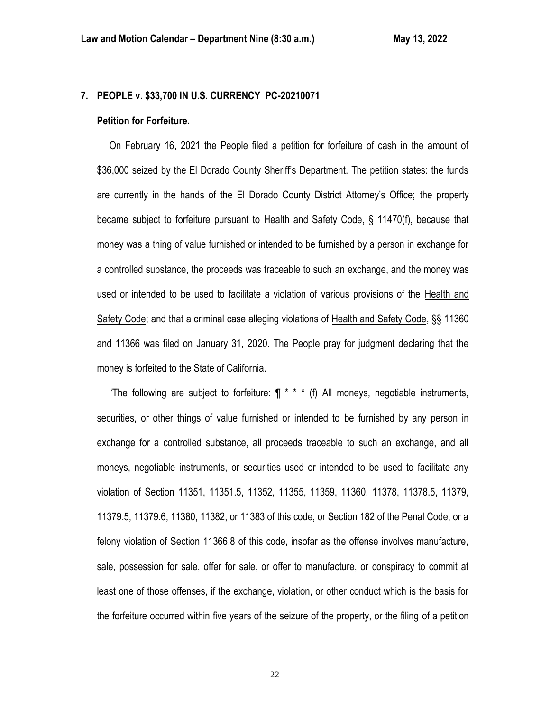# **7. PEOPLE v. \$33,700 IN U.S. CURRENCY PC-20210071**

#### **Petition for Forfeiture.**

 On February 16, 2021 the People filed a petition for forfeiture of cash in the amount of \$36,000 seized by the El Dorado County Sheriff's Department. The petition states: the funds are currently in the hands of the El Dorado County District Attorney's Office; the property became subject to forfeiture pursuant to Health and Safety Code, § 11470(f), because that money was a thing of value furnished or intended to be furnished by a person in exchange for a controlled substance, the proceeds was traceable to such an exchange, and the money was used or intended to be used to facilitate a violation of various provisions of the Health and Safety Code; and that a criminal case alleging violations of Health and Safety Code, §§ 11360 and 11366 was filed on January 31, 2020. The People pray for judgment declaring that the money is forfeited to the State of California.

"The following are subject to forfeiture:  $\P$  \* \* \* (f) All moneys, negotiable instruments, securities, or other things of value furnished or intended to be furnished by any person in exchange for a controlled substance, all proceeds traceable to such an exchange, and all moneys, negotiable instruments, or securities used or intended to be used to facilitate any violation of Section 11351, 11351.5, 11352, 11355, 11359, 11360, 11378, 11378.5, 11379, 11379.5, 11379.6, 11380, 11382, or 11383 of this code, or Section 182 of the Penal Code, or a felony violation of Section 11366.8 of this code, insofar as the offense involves manufacture, sale, possession for sale, offer for sale, or offer to manufacture, or conspiracy to commit at least one of those offenses, if the exchange, violation, or other conduct which is the basis for the forfeiture occurred within five years of the seizure of the property, or the filing of a petition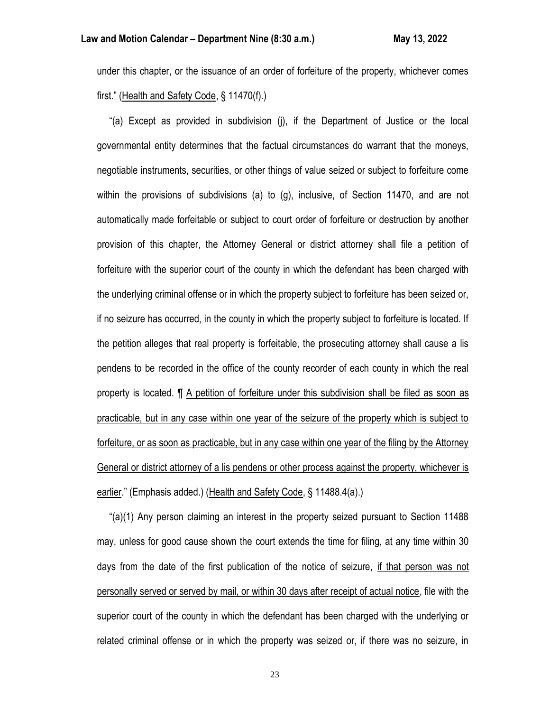under this chapter, or the issuance of an order of forfeiture of the property, whichever comes first." (Health and Safety Code, § 11470(f).)

 "(a) Except as provided in subdivision (j), if the Department of Justice or the local governmental entity determines that the factual circumstances do warrant that the moneys, negotiable instruments, securities, or other things of value seized or subject to forfeiture come within the provisions of subdivisions (a) to (g), inclusive, of Section 11470, and are not automatically made forfeitable or subject to court order of forfeiture or destruction by another provision of this chapter, the Attorney General or district attorney shall file a petition of forfeiture with the superior court of the county in which the defendant has been charged with the underlying criminal offense or in which the property subject to forfeiture has been seized or, if no seizure has occurred, in the county in which the property subject to forfeiture is located. If the petition alleges that real property is forfeitable, the prosecuting attorney shall cause a lis pendens to be recorded in the office of the county recorder of each county in which the real property is located. ¶ A petition of forfeiture under this subdivision shall be filed as soon as practicable, but in any case within one year of the seizure of the property which is subject to forfeiture, or as soon as practicable, but in any case within one year of the filing by the Attorney General or district attorney of a lis pendens or other process against the property, whichever is earlier." (Emphasis added.) (Health and Safety Code, § 11488.4(a).)

 "(a)(1) Any person claiming an interest in the property seized pursuant to Section 11488 may, unless for good cause shown the court extends the time for filing, at any time within 30 days from the date of the first publication of the notice of seizure, if that person was not personally served or served by mail, or within 30 days after receipt of actual notice, file with the superior court of the county in which the defendant has been charged with the underlying or related criminal offense or in which the property was seized or, if there was no seizure, in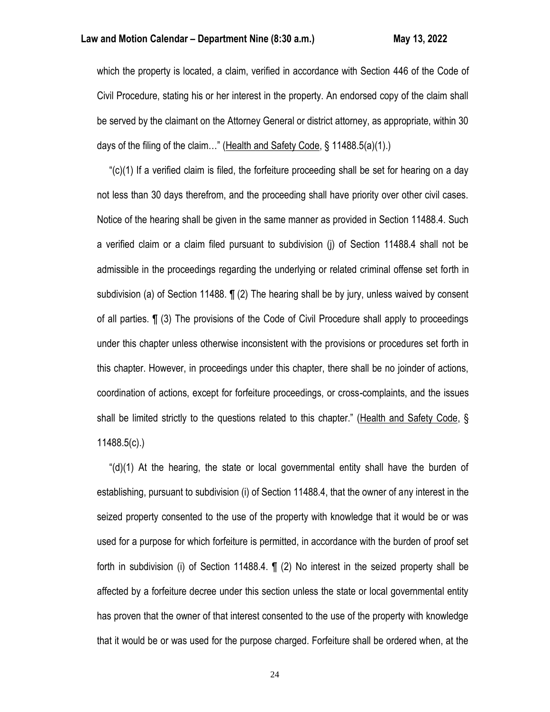which the property is located, a claim, verified in accordance with Section 446 of the Code of Civil Procedure, stating his or her interest in the property. An endorsed copy of the claim shall be served by the claimant on the Attorney General or district attorney, as appropriate, within 30 days of the filing of the claim..." (Health and Safety Code, § 11488.5(a)(1).)

" $(c)(1)$  If a verified claim is filed, the forfeiture proceeding shall be set for hearing on a day not less than 30 days therefrom, and the proceeding shall have priority over other civil cases. Notice of the hearing shall be given in the same manner as provided in Section 11488.4. Such a verified claim or a claim filed pursuant to subdivision (j) of Section 11488.4 shall not be admissible in the proceedings regarding the underlying or related criminal offense set forth in subdivision (a) of Section 11488. ¶ (2) The hearing shall be by jury, unless waived by consent of all parties. ¶ (3) The provisions of the Code of Civil Procedure shall apply to proceedings under this chapter unless otherwise inconsistent with the provisions or procedures set forth in this chapter. However, in proceedings under this chapter, there shall be no joinder of actions, coordination of actions, except for forfeiture proceedings, or cross-complaints, and the issues shall be limited strictly to the questions related to this chapter." (Health and Safety Code, § 11488.5(c).)

" $(d)(1)$  At the hearing, the state or local governmental entity shall have the burden of establishing, pursuant to subdivision (i) of Section 11488.4, that the owner of any interest in the seized property consented to the use of the property with knowledge that it would be or was used for a purpose for which forfeiture is permitted, in accordance with the burden of proof set forth in subdivision (i) of Section 11488.4. ¶ (2) No interest in the seized property shall be affected by a forfeiture decree under this section unless the state or local governmental entity has proven that the owner of that interest consented to the use of the property with knowledge that it would be or was used for the purpose charged. Forfeiture shall be ordered when, at the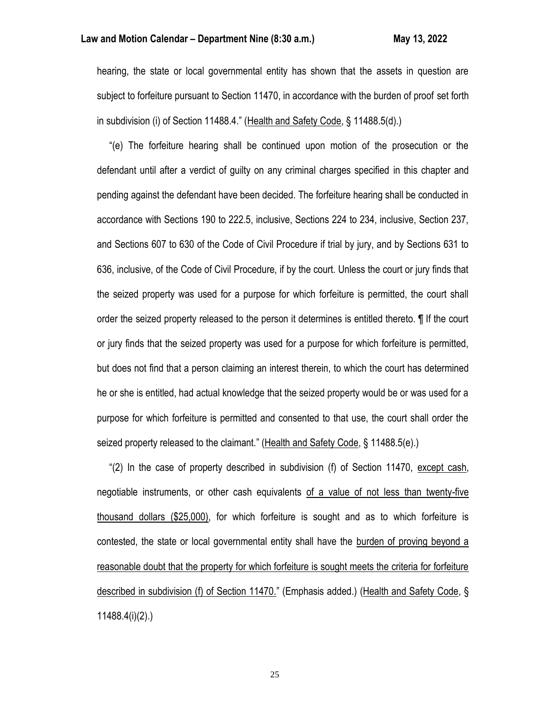hearing, the state or local governmental entity has shown that the assets in question are subject to forfeiture pursuant to Section 11470, in accordance with the burden of proof set forth in subdivision (i) of Section 11488.4." (Health and Safety Code, § 11488.5(d).)

 "(e) The forfeiture hearing shall be continued upon motion of the prosecution or the defendant until after a verdict of guilty on any criminal charges specified in this chapter and pending against the defendant have been decided. The forfeiture hearing shall be conducted in accordance with Sections 190 to 222.5, inclusive, Sections 224 to 234, inclusive, Section 237, and Sections 607 to 630 of the Code of Civil Procedure if trial by jury, and by Sections 631 to 636, inclusive, of the Code of Civil Procedure, if by the court. Unless the court or jury finds that the seized property was used for a purpose for which forfeiture is permitted, the court shall order the seized property released to the person it determines is entitled thereto. ¶ If the court or jury finds that the seized property was used for a purpose for which forfeiture is permitted, but does not find that a person claiming an interest therein, to which the court has determined he or she is entitled, had actual knowledge that the seized property would be or was used for a purpose for which forfeiture is permitted and consented to that use, the court shall order the seized property released to the claimant." (Health and Safety Code, § 11488.5(e).)

 "(2) In the case of property described in subdivision (f) of Section 11470, except cash, negotiable instruments, or other cash equivalents of a value of not less than twenty-five thousand dollars (\$25,000), for which forfeiture is sought and as to which forfeiture is contested, the state or local governmental entity shall have the burden of proving beyond a reasonable doubt that the property for which forfeiture is sought meets the criteria for forfeiture described in subdivision (f) of Section 11470." (Emphasis added.) (Health and Safety Code, § 11488.4(i)(2).)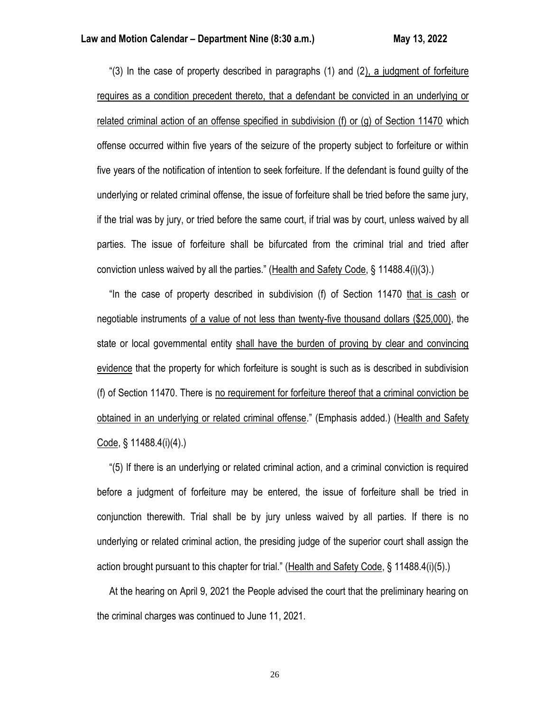"(3) In the case of property described in paragraphs (1) and (2), a judgment of forfeiture requires as a condition precedent thereto, that a defendant be convicted in an underlying or related criminal action of an offense specified in subdivision (f) or (g) of Section 11470 which offense occurred within five years of the seizure of the property subject to forfeiture or within five years of the notification of intention to seek forfeiture. If the defendant is found guilty of the underlying or related criminal offense, the issue of forfeiture shall be tried before the same jury, if the trial was by jury, or tried before the same court, if trial was by court, unless waived by all parties. The issue of forfeiture shall be bifurcated from the criminal trial and tried after conviction unless waived by all the parties." (Health and Safety Code, § 11488.4(i)(3).)

 "In the case of property described in subdivision (f) of Section 11470 that is cash or negotiable instruments of a value of not less than twenty-five thousand dollars (\$25,000), the state or local governmental entity shall have the burden of proving by clear and convincing evidence that the property for which forfeiture is sought is such as is described in subdivision (f) of Section 11470. There is no requirement for forfeiture thereof that a criminal conviction be obtained in an underlying or related criminal offense." (Emphasis added.) (Health and Safety Code, § 11488.4(i)(4).)

 "(5) If there is an underlying or related criminal action, and a criminal conviction is required before a judgment of forfeiture may be entered, the issue of forfeiture shall be tried in conjunction therewith. Trial shall be by jury unless waived by all parties. If there is no underlying or related criminal action, the presiding judge of the superior court shall assign the action brought pursuant to this chapter for trial." (Health and Safety Code, § 11488.4(i)(5).)

 At the hearing on April 9, 2021 the People advised the court that the preliminary hearing on the criminal charges was continued to June 11, 2021.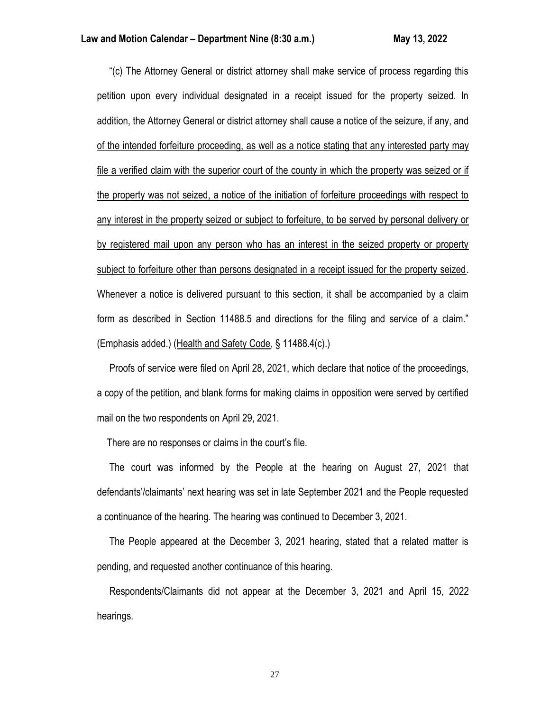"(c) The Attorney General or district attorney shall make service of process regarding this petition upon every individual designated in a receipt issued for the property seized. In addition, the Attorney General or district attorney shall cause a notice of the seizure, if any, and of the intended forfeiture proceeding, as well as a notice stating that any interested party may file a verified claim with the superior court of the county in which the property was seized or if the property was not seized, a notice of the initiation of forfeiture proceedings with respect to any interest in the property seized or subject to forfeiture, to be served by personal delivery or by registered mail upon any person who has an interest in the seized property or property subject to forfeiture other than persons designated in a receipt issued for the property seized. Whenever a notice is delivered pursuant to this section, it shall be accompanied by a claim form as described in Section 11488.5 and directions for the filing and service of a claim." (Emphasis added.) (Health and Safety Code, § 11488.4(c).)

 Proofs of service were filed on April 28, 2021, which declare that notice of the proceedings, a copy of the petition, and blank forms for making claims in opposition were served by certified mail on the two respondents on April 29, 2021.

There are no responses or claims in the court's file.

 The court was informed by the People at the hearing on August 27, 2021 that defendants'/claimants' next hearing was set in late September 2021 and the People requested a continuance of the hearing. The hearing was continued to December 3, 2021.

 The People appeared at the December 3, 2021 hearing, stated that a related matter is pending, and requested another continuance of this hearing.

 Respondents/Claimants did not appear at the December 3, 2021 and April 15, 2022 hearings.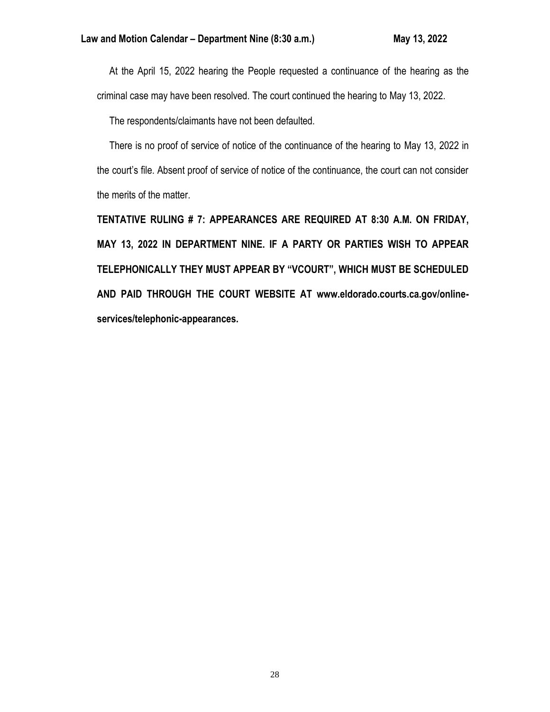At the April 15, 2022 hearing the People requested a continuance of the hearing as the criminal case may have been resolved. The court continued the hearing to May 13, 2022.

The respondents/claimants have not been defaulted.

 There is no proof of service of notice of the continuance of the hearing to May 13, 2022 in the court's file. Absent proof of service of notice of the continuance, the court can not consider the merits of the matter.

**TENTATIVE RULING # 7: APPEARANCES ARE REQUIRED AT 8:30 A.M. ON FRIDAY, MAY 13, 2022 IN DEPARTMENT NINE. IF A PARTY OR PARTIES WISH TO APPEAR TELEPHONICALLY THEY MUST APPEAR BY "VCOURT", WHICH MUST BE SCHEDULED AND PAID THROUGH THE COURT WEBSITE AT www.eldorado.courts.ca.gov/onlineservices/telephonic-appearances.**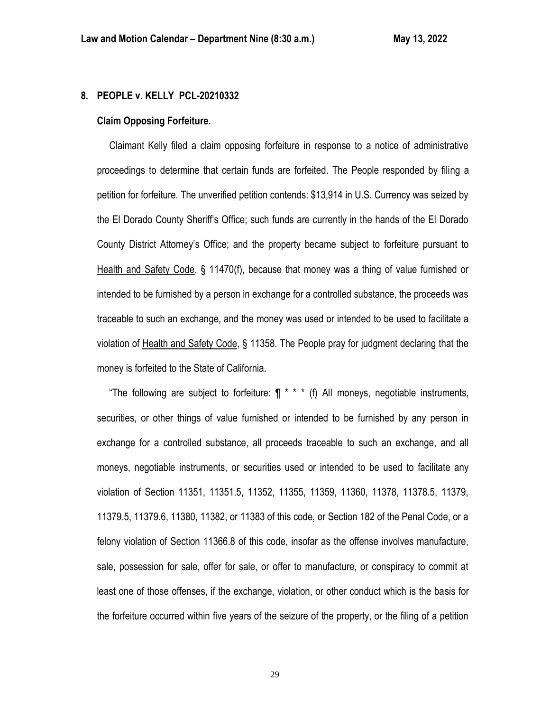# **8. PEOPLE v. KELLY PCL-20210332**

## **Claim Opposing Forfeiture.**

 Claimant Kelly filed a claim opposing forfeiture in response to a notice of administrative proceedings to determine that certain funds are forfeited. The People responded by filing a petition for forfeiture. The unverified petition contends: \$13,914 in U.S. Currency was seized by the El Dorado County Sheriff's Office; such funds are currently in the hands of the El Dorado County District Attorney's Office; and the property became subject to forfeiture pursuant to Health and Safety Code, § 11470(f), because that money was a thing of value furnished or intended to be furnished by a person in exchange for a controlled substance, the proceeds was traceable to such an exchange, and the money was used or intended to be used to facilitate a violation of Health and Safety Code, § 11358. The People pray for judgment declaring that the money is forfeited to the State of California.

"The following are subject to forfeiture:  $\P$  \* \* \* (f) All moneys, negotiable instruments, securities, or other things of value furnished or intended to be furnished by any person in exchange for a controlled substance, all proceeds traceable to such an exchange, and all moneys, negotiable instruments, or securities used or intended to be used to facilitate any violation of Section 11351, 11351.5, 11352, 11355, 11359, 11360, 11378, 11378.5, 11379, 11379.5, 11379.6, 11380, 11382, or 11383 of this code, or Section 182 of the Penal Code, or a felony violation of Section 11366.8 of this code, insofar as the offense involves manufacture, sale, possession for sale, offer for sale, or offer to manufacture, or conspiracy to commit at least one of those offenses, if the exchange, violation, or other conduct which is the basis for the forfeiture occurred within five years of the seizure of the property, or the filing of a petition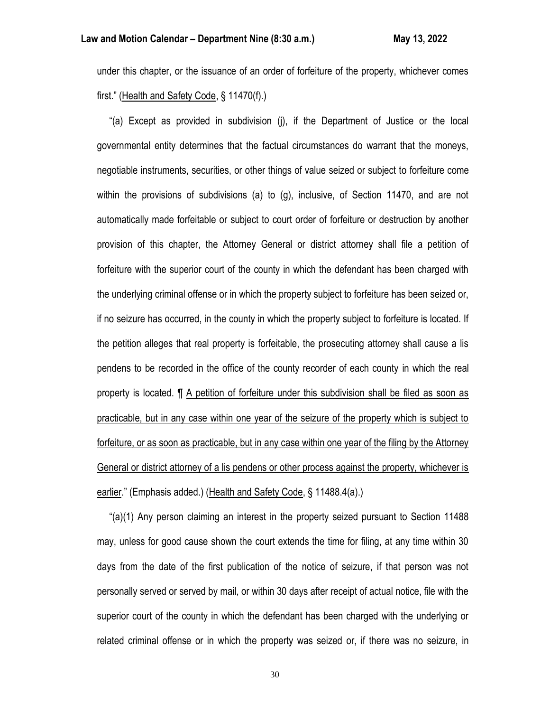under this chapter, or the issuance of an order of forfeiture of the property, whichever comes first." (Health and Safety Code, § 11470(f).)

 "(a) Except as provided in subdivision (j), if the Department of Justice or the local governmental entity determines that the factual circumstances do warrant that the moneys, negotiable instruments, securities, or other things of value seized or subject to forfeiture come within the provisions of subdivisions (a) to (g), inclusive, of Section 11470, and are not automatically made forfeitable or subject to court order of forfeiture or destruction by another provision of this chapter, the Attorney General or district attorney shall file a petition of forfeiture with the superior court of the county in which the defendant has been charged with the underlying criminal offense or in which the property subject to forfeiture has been seized or, if no seizure has occurred, in the county in which the property subject to forfeiture is located. If the petition alleges that real property is forfeitable, the prosecuting attorney shall cause a lis pendens to be recorded in the office of the county recorder of each county in which the real property is located. ¶ A petition of forfeiture under this subdivision shall be filed as soon as practicable, but in any case within one year of the seizure of the property which is subject to forfeiture, or as soon as practicable, but in any case within one year of the filing by the Attorney General or district attorney of a lis pendens or other process against the property, whichever is earlier." (Emphasis added.) (Health and Safety Code, § 11488.4(a).)

 "(a)(1) Any person claiming an interest in the property seized pursuant to Section 11488 may, unless for good cause shown the court extends the time for filing, at any time within 30 days from the date of the first publication of the notice of seizure, if that person was not personally served or served by mail, or within 30 days after receipt of actual notice, file with the superior court of the county in which the defendant has been charged with the underlying or related criminal offense or in which the property was seized or, if there was no seizure, in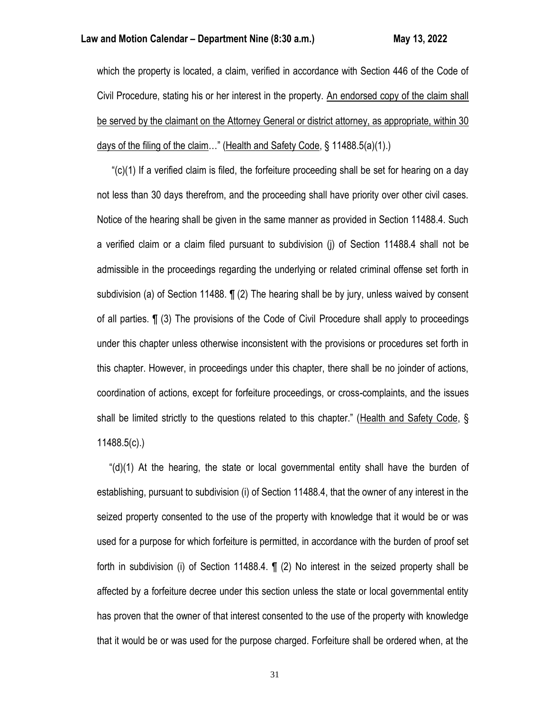which the property is located, a claim, verified in accordance with Section 446 of the Code of Civil Procedure, stating his or her interest in the property. An endorsed copy of the claim shall be served by the claimant on the Attorney General or district attorney, as appropriate, within 30 days of the filing of the claim…" (Health and Safety Code, § 11488.5(a)(1).)

 "(c)(1) If a verified claim is filed, the forfeiture proceeding shall be set for hearing on a day not less than 30 days therefrom, and the proceeding shall have priority over other civil cases. Notice of the hearing shall be given in the same manner as provided in Section 11488.4. Such a verified claim or a claim filed pursuant to subdivision (j) of Section 11488.4 shall not be admissible in the proceedings regarding the underlying or related criminal offense set forth in subdivision (a) of Section 11488. ¶ (2) The hearing shall be by jury, unless waived by consent of all parties. ¶ (3) The provisions of the Code of Civil Procedure shall apply to proceedings under this chapter unless otherwise inconsistent with the provisions or procedures set forth in this chapter. However, in proceedings under this chapter, there shall be no joinder of actions, coordination of actions, except for forfeiture proceedings, or cross-complaints, and the issues shall be limited strictly to the questions related to this chapter." (Health and Safety Code, § 11488.5(c).)

" $(d)(1)$  At the hearing, the state or local governmental entity shall have the burden of establishing, pursuant to subdivision (i) of Section 11488.4, that the owner of any interest in the seized property consented to the use of the property with knowledge that it would be or was used for a purpose for which forfeiture is permitted, in accordance with the burden of proof set forth in subdivision (i) of Section 11488.4. ¶ (2) No interest in the seized property shall be affected by a forfeiture decree under this section unless the state or local governmental entity has proven that the owner of that interest consented to the use of the property with knowledge that it would be or was used for the purpose charged. Forfeiture shall be ordered when, at the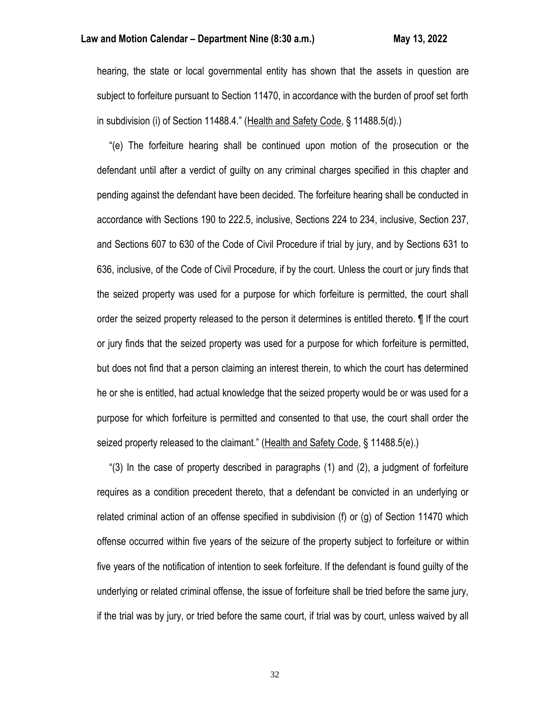hearing, the state or local governmental entity has shown that the assets in question are subject to forfeiture pursuant to Section 11470, in accordance with the burden of proof set forth in subdivision (i) of Section 11488.4." (Health and Safety Code, § 11488.5(d).)

 "(e) The forfeiture hearing shall be continued upon motion of the prosecution or the defendant until after a verdict of guilty on any criminal charges specified in this chapter and pending against the defendant have been decided. The forfeiture hearing shall be conducted in accordance with Sections 190 to 222.5, inclusive, Sections 224 to 234, inclusive, Section 237, and Sections 607 to 630 of the Code of Civil Procedure if trial by jury, and by Sections 631 to 636, inclusive, of the Code of Civil Procedure, if by the court. Unless the court or jury finds that the seized property was used for a purpose for which forfeiture is permitted, the court shall order the seized property released to the person it determines is entitled thereto. ¶ If the court or jury finds that the seized property was used for a purpose for which forfeiture is permitted, but does not find that a person claiming an interest therein, to which the court has determined he or she is entitled, had actual knowledge that the seized property would be or was used for a purpose for which forfeiture is permitted and consented to that use, the court shall order the seized property released to the claimant." (Health and Safety Code, § 11488.5(e).)

 "(3) In the case of property described in paragraphs (1) and (2), a judgment of forfeiture requires as a condition precedent thereto, that a defendant be convicted in an underlying or related criminal action of an offense specified in subdivision (f) or (g) of Section 11470 which offense occurred within five years of the seizure of the property subject to forfeiture or within five years of the notification of intention to seek forfeiture. If the defendant is found guilty of the underlying or related criminal offense, the issue of forfeiture shall be tried before the same jury, if the trial was by jury, or tried before the same court, if trial was by court, unless waived by all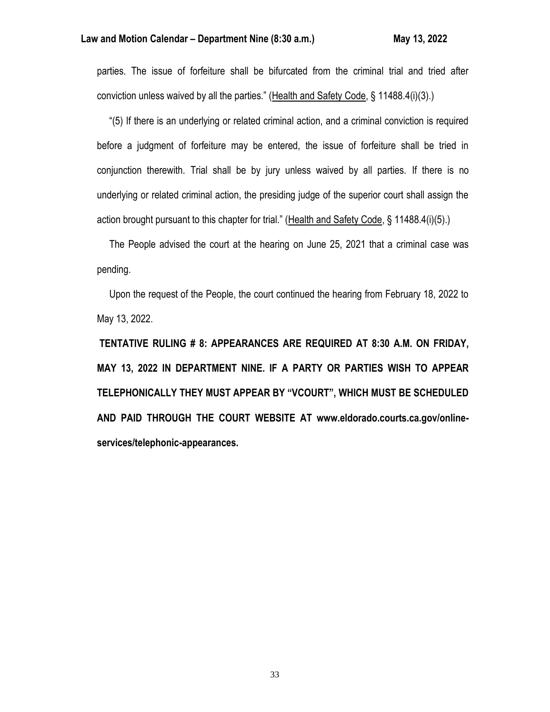parties. The issue of forfeiture shall be bifurcated from the criminal trial and tried after conviction unless waived by all the parties." (Health and Safety Code, § 11488.4(i)(3).)

 "(5) If there is an underlying or related criminal action, and a criminal conviction is required before a judgment of forfeiture may be entered, the issue of forfeiture shall be tried in conjunction therewith. Trial shall be by jury unless waived by all parties. If there is no underlying or related criminal action, the presiding judge of the superior court shall assign the action brought pursuant to this chapter for trial." (Health and Safety Code, § 11488.4(i)(5).)

 The People advised the court at the hearing on June 25, 2021 that a criminal case was pending.

 Upon the request of the People, the court continued the hearing from February 18, 2022 to May 13, 2022.

**TENTATIVE RULING # 8: APPEARANCES ARE REQUIRED AT 8:30 A.M. ON FRIDAY, MAY 13, 2022 IN DEPARTMENT NINE. IF A PARTY OR PARTIES WISH TO APPEAR TELEPHONICALLY THEY MUST APPEAR BY "VCOURT", WHICH MUST BE SCHEDULED AND PAID THROUGH THE COURT WEBSITE AT www.eldorado.courts.ca.gov/onlineservices/telephonic-appearances.**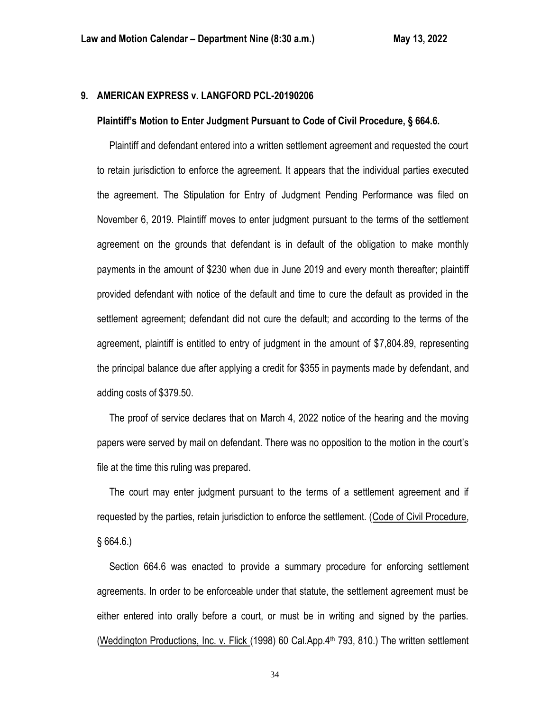#### **9. AMERICAN EXPRESS v. LANGFORD PCL-20190206**

#### **Plaintiff's Motion to Enter Judgment Pursuant to Code of Civil Procedure, § 664.6.**

 Plaintiff and defendant entered into a written settlement agreement and requested the court to retain jurisdiction to enforce the agreement. It appears that the individual parties executed the agreement. The Stipulation for Entry of Judgment Pending Performance was filed on November 6, 2019. Plaintiff moves to enter judgment pursuant to the terms of the settlement agreement on the grounds that defendant is in default of the obligation to make monthly payments in the amount of \$230 when due in June 2019 and every month thereafter; plaintiff provided defendant with notice of the default and time to cure the default as provided in the settlement agreement; defendant did not cure the default; and according to the terms of the agreement, plaintiff is entitled to entry of judgment in the amount of \$7,804.89, representing the principal balance due after applying a credit for \$355 in payments made by defendant, and adding costs of \$379.50.

 The proof of service declares that on March 4, 2022 notice of the hearing and the moving papers were served by mail on defendant. There was no opposition to the motion in the court's file at the time this ruling was prepared.

 The court may enter judgment pursuant to the terms of a settlement agreement and if requested by the parties, retain jurisdiction to enforce the settlement. (Code of Civil Procedure,  $§664.6.$ 

 Section 664.6 was enacted to provide a summary procedure for enforcing settlement agreements. In order to be enforceable under that statute, the settlement agreement must be either entered into orally before a court, or must be in writing and signed by the parties. (Weddington Productions, Inc. v. Flick  $(1998)$  60 Cal.App. $4<sup>th</sup>$  793, 810.) The written settlement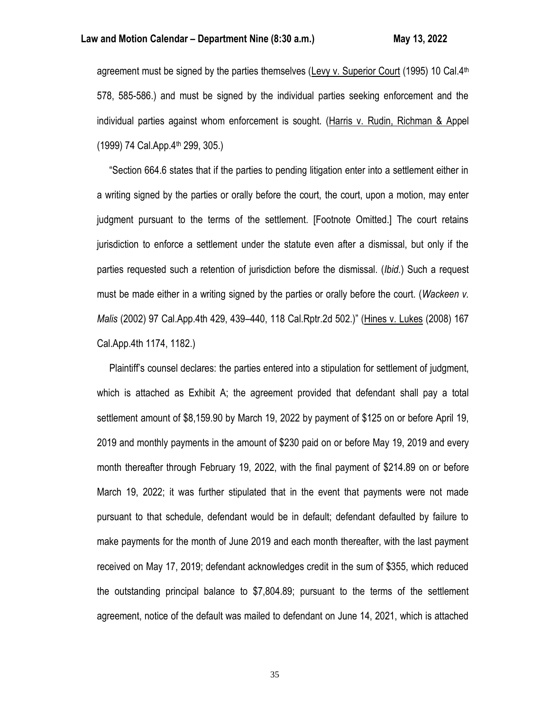## **Law and Motion Calendar – Department Nine (8:30 a.m.) May 13, 2022**

agreement must be signed by the parties themselves (Levy v. Superior Court (1995) 10 Cal. $4<sup>th</sup>$ 578, 585-586.) and must be signed by the individual parties seeking enforcement and the individual parties against whom enforcement is sought. (Harris v. Rudin, Richman & Appel (1999) 74 Cal.App.4th 299, 305.)

 "Section 664.6 states that if the parties to pending litigation enter into a settlement either in a writing signed by the parties or orally before the court, the court, upon a motion, may enter judgment pursuant to the terms of the settlement. [Footnote Omitted.] The court retains jurisdiction to enforce a settlement under the statute even after a dismissal, but only if the parties requested such a retention of jurisdiction before the dismissal. (*Ibid.*) Such a request must be made either in a writing signed by the parties or orally before the court. (*Wackeen v. Malis* (2002) 97 Cal.App.4th 429, 439–440, 118 Cal.Rptr.2d 502.)" (Hines v. Lukes (2008) 167 Cal.App.4th 1174, 1182.)

 Plaintiff's counsel declares: the parties entered into a stipulation for settlement of judgment, which is attached as Exhibit A; the agreement provided that defendant shall pay a total settlement amount of \$8,159.90 by March 19, 2022 by payment of \$125 on or before April 19, 2019 and monthly payments in the amount of \$230 paid on or before May 19, 2019 and every month thereafter through February 19, 2022, with the final payment of \$214.89 on or before March 19, 2022; it was further stipulated that in the event that payments were not made pursuant to that schedule, defendant would be in default; defendant defaulted by failure to make payments for the month of June 2019 and each month thereafter, with the last payment received on May 17, 2019; defendant acknowledges credit in the sum of \$355, which reduced the outstanding principal balance to \$7,804.89; pursuant to the terms of the settlement agreement, notice of the default was mailed to defendant on June 14, 2021, which is attached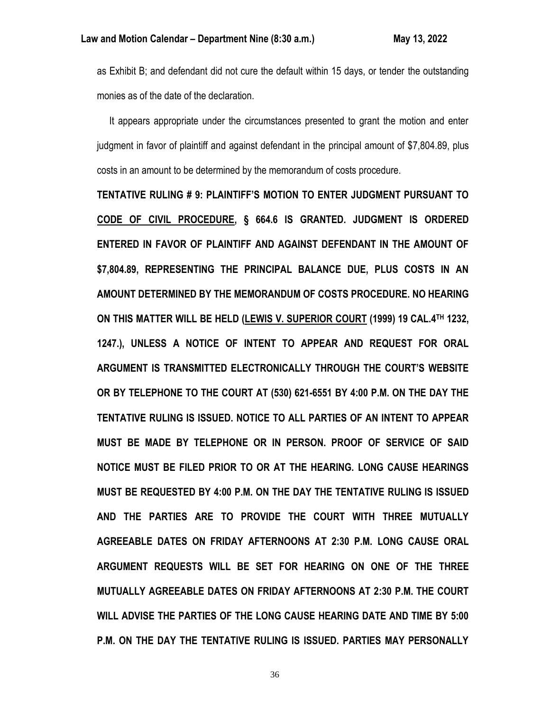as Exhibit B; and defendant did not cure the default within 15 days, or tender the outstanding monies as of the date of the declaration.

 It appears appropriate under the circumstances presented to grant the motion and enter judgment in favor of plaintiff and against defendant in the principal amount of \$7,804.89, plus costs in an amount to be determined by the memorandum of costs procedure.

**TENTATIVE RULING # 9: PLAINTIFF'S MOTION TO ENTER JUDGMENT PURSUANT TO CODE OF CIVIL PROCEDURE, § 664.6 IS GRANTED. JUDGMENT IS ORDERED ENTERED IN FAVOR OF PLAINTIFF AND AGAINST DEFENDANT IN THE AMOUNT OF \$7,804.89, REPRESENTING THE PRINCIPAL BALANCE DUE, PLUS COSTS IN AN AMOUNT DETERMINED BY THE MEMORANDUM OF COSTS PROCEDURE. NO HEARING ON THIS MATTER WILL BE HELD (LEWIS V. SUPERIOR COURT (1999) 19 CAL.4TH 1232, 1247.), UNLESS A NOTICE OF INTENT TO APPEAR AND REQUEST FOR ORAL ARGUMENT IS TRANSMITTED ELECTRONICALLY THROUGH THE COURT'S WEBSITE OR BY TELEPHONE TO THE COURT AT (530) 621-6551 BY 4:00 P.M. ON THE DAY THE TENTATIVE RULING IS ISSUED. NOTICE TO ALL PARTIES OF AN INTENT TO APPEAR MUST BE MADE BY TELEPHONE OR IN PERSON. PROOF OF SERVICE OF SAID NOTICE MUST BE FILED PRIOR TO OR AT THE HEARING. LONG CAUSE HEARINGS MUST BE REQUESTED BY 4:00 P.M. ON THE DAY THE TENTATIVE RULING IS ISSUED AND THE PARTIES ARE TO PROVIDE THE COURT WITH THREE MUTUALLY AGREEABLE DATES ON FRIDAY AFTERNOONS AT 2:30 P.M. LONG CAUSE ORAL ARGUMENT REQUESTS WILL BE SET FOR HEARING ON ONE OF THE THREE MUTUALLY AGREEABLE DATES ON FRIDAY AFTERNOONS AT 2:30 P.M. THE COURT WILL ADVISE THE PARTIES OF THE LONG CAUSE HEARING DATE AND TIME BY 5:00 P.M. ON THE DAY THE TENTATIVE RULING IS ISSUED. PARTIES MAY PERSONALLY**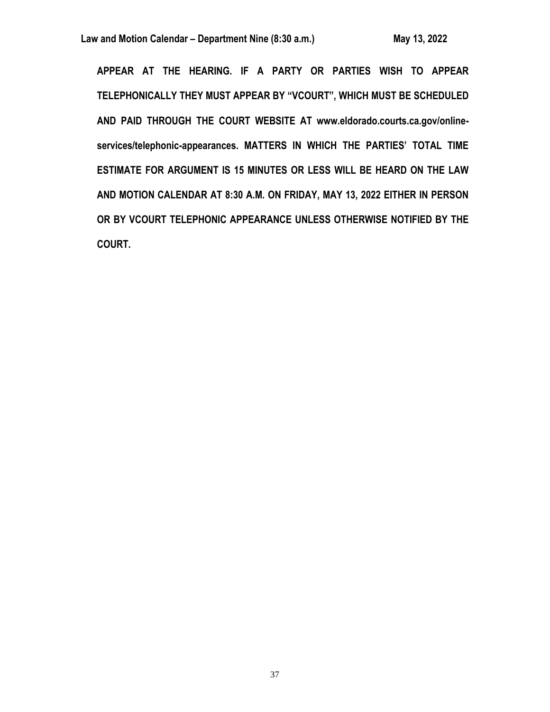**APPEAR AT THE HEARING. IF A PARTY OR PARTIES WISH TO APPEAR TELEPHONICALLY THEY MUST APPEAR BY "VCOURT", WHICH MUST BE SCHEDULED AND PAID THROUGH THE COURT WEBSITE AT www.eldorado.courts.ca.gov/onlineservices/telephonic-appearances. MATTERS IN WHICH THE PARTIES' TOTAL TIME ESTIMATE FOR ARGUMENT IS 15 MINUTES OR LESS WILL BE HEARD ON THE LAW AND MOTION CALENDAR AT 8:30 A.M. ON FRIDAY, MAY 13, 2022 EITHER IN PERSON OR BY VCOURT TELEPHONIC APPEARANCE UNLESS OTHERWISE NOTIFIED BY THE COURT.**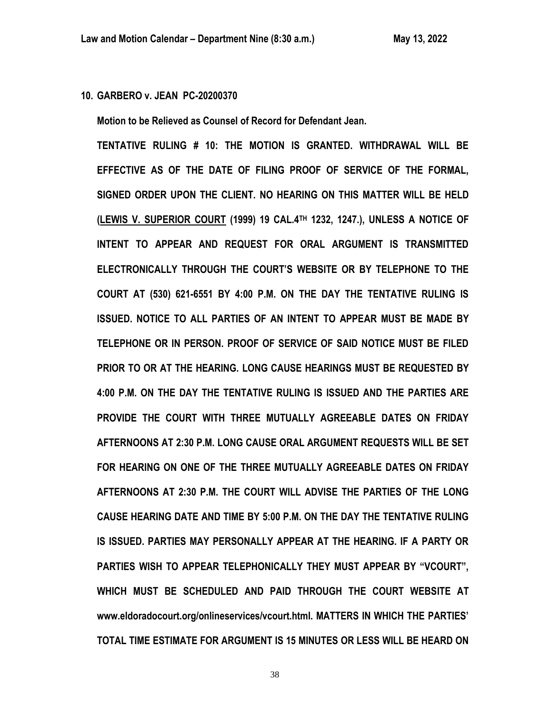**10. GARBERO v. JEAN PC-20200370**

**Motion to be Relieved as Counsel of Record for Defendant Jean.**

**TENTATIVE RULING # 10: THE MOTION IS GRANTED. WITHDRAWAL WILL BE EFFECTIVE AS OF THE DATE OF FILING PROOF OF SERVICE OF THE FORMAL, SIGNED ORDER UPON THE CLIENT. NO HEARING ON THIS MATTER WILL BE HELD (LEWIS V. SUPERIOR COURT (1999) 19 CAL.4TH 1232, 1247.), UNLESS A NOTICE OF INTENT TO APPEAR AND REQUEST FOR ORAL ARGUMENT IS TRANSMITTED ELECTRONICALLY THROUGH THE COURT'S WEBSITE OR BY TELEPHONE TO THE COURT AT (530) 621-6551 BY 4:00 P.M. ON THE DAY THE TENTATIVE RULING IS ISSUED. NOTICE TO ALL PARTIES OF AN INTENT TO APPEAR MUST BE MADE BY TELEPHONE OR IN PERSON. PROOF OF SERVICE OF SAID NOTICE MUST BE FILED PRIOR TO OR AT THE HEARING. LONG CAUSE HEARINGS MUST BE REQUESTED BY 4:00 P.M. ON THE DAY THE TENTATIVE RULING IS ISSUED AND THE PARTIES ARE PROVIDE THE COURT WITH THREE MUTUALLY AGREEABLE DATES ON FRIDAY AFTERNOONS AT 2:30 P.M. LONG CAUSE ORAL ARGUMENT REQUESTS WILL BE SET FOR HEARING ON ONE OF THE THREE MUTUALLY AGREEABLE DATES ON FRIDAY AFTERNOONS AT 2:30 P.M. THE COURT WILL ADVISE THE PARTIES OF THE LONG CAUSE HEARING DATE AND TIME BY 5:00 P.M. ON THE DAY THE TENTATIVE RULING IS ISSUED. PARTIES MAY PERSONALLY APPEAR AT THE HEARING. IF A PARTY OR PARTIES WISH TO APPEAR TELEPHONICALLY THEY MUST APPEAR BY "VCOURT", WHICH MUST BE SCHEDULED AND PAID THROUGH THE COURT WEBSITE AT www.eldoradocourt.org/onlineservices/vcourt.html. MATTERS IN WHICH THE PARTIES' TOTAL TIME ESTIMATE FOR ARGUMENT IS 15 MINUTES OR LESS WILL BE HEARD ON**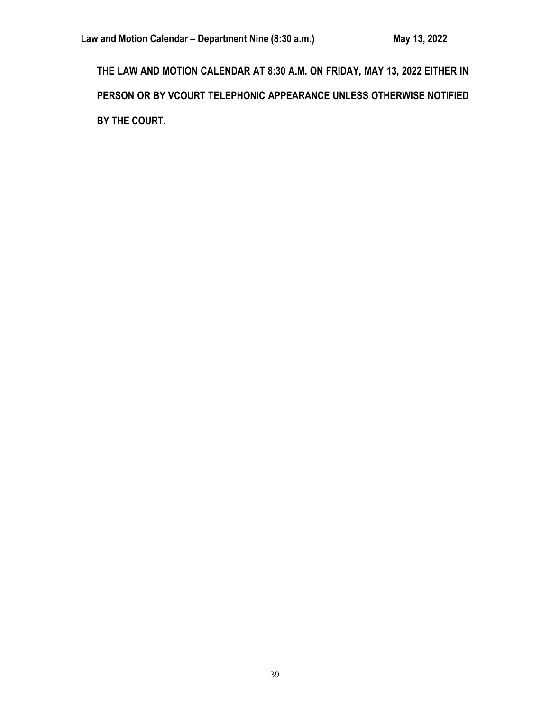**THE LAW AND MOTION CALENDAR AT 8:30 A.M. ON FRIDAY, MAY 13, 2022 EITHER IN PERSON OR BY VCOURT TELEPHONIC APPEARANCE UNLESS OTHERWISE NOTIFIED BY THE COURT.**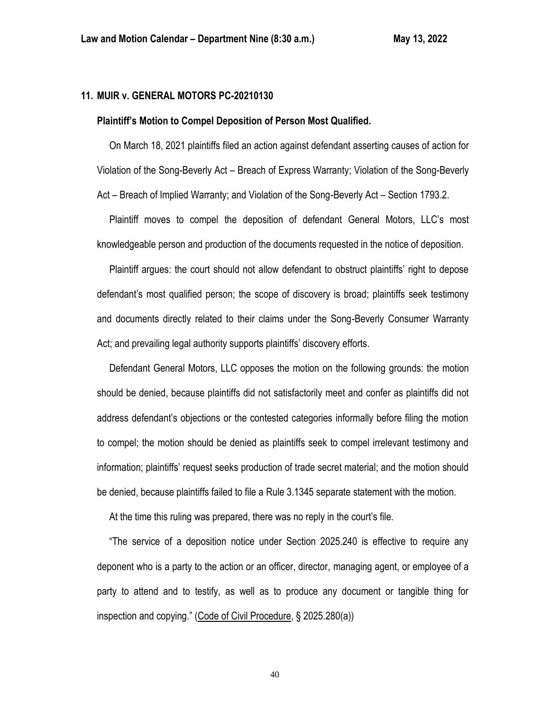# **11. MUIR v. GENERAL MOTORS PC-20210130**

#### **Plaintiff's Motion to Compel Deposition of Person Most Qualified.**

 On March 18, 2021 plaintiffs filed an action against defendant asserting causes of action for Violation of the Song-Beverly Act – Breach of Express Warranty; Violation of the Song-Beverly Act – Breach of Implied Warranty; and Violation of the Song-Beverly Act – Section 1793.2.

 Plaintiff moves to compel the deposition of defendant General Motors, LLC's most knowledgeable person and production of the documents requested in the notice of deposition.

 Plaintiff argues: the court should not allow defendant to obstruct plaintiffs' right to depose defendant's most qualified person; the scope of discovery is broad; plaintiffs seek testimony and documents directly related to their claims under the Song-Beverly Consumer Warranty Act; and prevailing legal authority supports plaintiffs' discovery efforts.

 Defendant General Motors, LLC opposes the motion on the following grounds: the motion should be denied, because plaintiffs did not satisfactorily meet and confer as plaintiffs did not address defendant's objections or the contested categories informally before filing the motion to compel; the motion should be denied as plaintiffs seek to compel irrelevant testimony and information; plaintiffs' request seeks production of trade secret material; and the motion should be denied, because plaintiffs failed to file a Rule 3.1345 separate statement with the motion.

At the time this ruling was prepared, there was no reply in the court's file.

 "The service of a deposition notice under Section 2025.240 is effective to require any deponent who is a party to the action or an officer, director, managing agent, or employee of a party to attend and to testify, as well as to produce any document or tangible thing for inspection and copying." (Code of Civil Procedure, § 2025.280(a))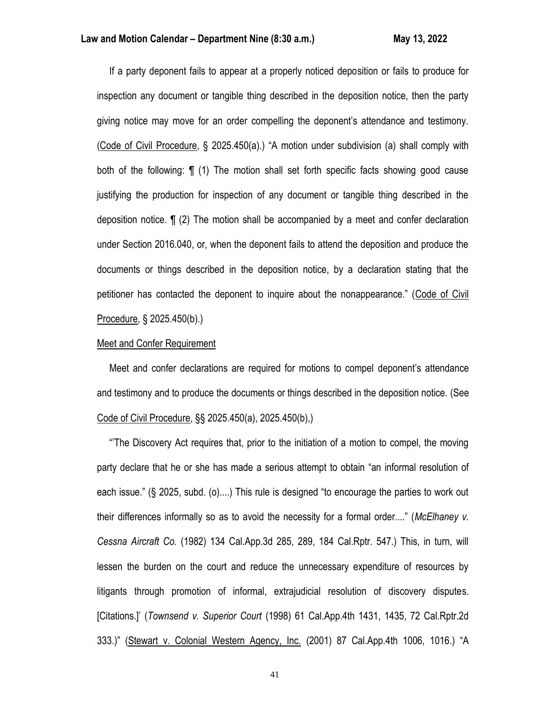If a party deponent fails to appear at a properly noticed deposition or fails to produce for inspection any document or tangible thing described in the deposition notice, then the party giving notice may move for an order compelling the deponent's attendance and testimony. (Code of Civil Procedure, § 2025.450(a).) "A motion under subdivision (a) shall comply with both of the following: ¶ (1) The motion shall set forth specific facts showing good cause justifying the production for inspection of any document or tangible thing described in the deposition notice. ¶ (2) The motion shall be accompanied by a meet and confer declaration under Section 2016.040, or, when the deponent fails to attend the deposition and produce the documents or things described in the deposition notice, by a declaration stating that the petitioner has contacted the deponent to inquire about the nonappearance." (Code of Civil Procedure, § 2025.450(b).)

#### Meet and Confer Requirement

 Meet and confer declarations are required for motions to compel deponent's attendance and testimony and to produce the documents or things described in the deposition notice. (See Code of Civil Procedure, §§ 2025.450(a), 2025.450(b),)

 "'The Discovery Act requires that, prior to the initiation of a motion to compel, the moving party declare that he or she has made a serious attempt to obtain "an informal resolution of each issue." (§ 2025, subd. (o)....) This rule is designed "to encourage the parties to work out their differences informally so as to avoid the necessity for a formal order...." (*McElhaney v. Cessna Aircraft Co.* (1982) 134 Cal.App.3d 285, 289, 184 Cal.Rptr. 547.) This, in turn, will lessen the burden on the court and reduce the unnecessary expenditure of resources by litigants through promotion of informal, extrajudicial resolution of discovery disputes. [Citations.]' (*Townsend v. Superior Court* (1998) 61 Cal.App.4th 1431, 1435, 72 Cal.Rptr.2d 333.)" (Stewart v. Colonial Western Agency, Inc. (2001) 87 Cal.App.4th 1006, 1016.) "A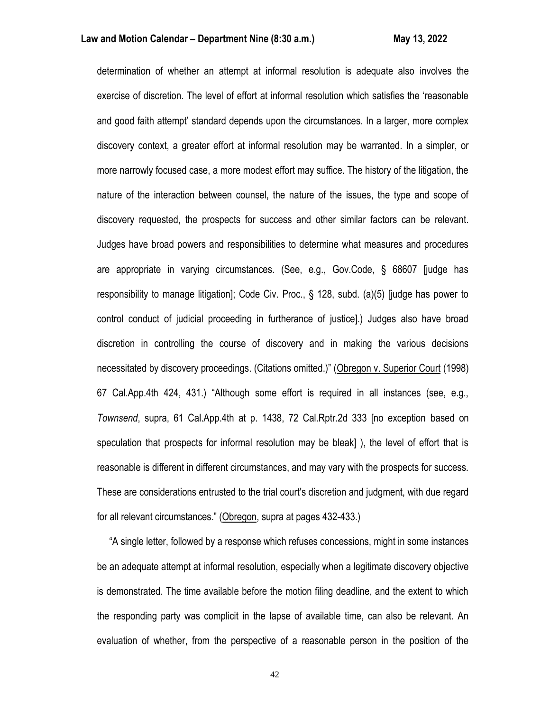determination of whether an attempt at informal resolution is adequate also involves the exercise of discretion. The level of effort at informal resolution which satisfies the 'reasonable and good faith attempt' standard depends upon the circumstances. In a larger, more complex discovery context, a greater effort at informal resolution may be warranted. In a simpler, or more narrowly focused case, a more modest effort may suffice. The history of the litigation, the nature of the interaction between counsel, the nature of the issues, the type and scope of discovery requested, the prospects for success and other similar factors can be relevant. Judges have broad powers and responsibilities to determine what measures and procedures are appropriate in varying circumstances. (See, e.g., Gov.Code, § 68607 [judge has responsibility to manage litigation]; Code Civ. Proc., § 128, subd. (a)(5) [judge has power to control conduct of judicial proceeding in furtherance of justice].) Judges also have broad discretion in controlling the course of discovery and in making the various decisions necessitated by discovery proceedings. (Citations omitted.)" (Obregon v. Superior Court (1998) 67 Cal.App.4th 424, 431.) "Although some effort is required in all instances (see, e.g., *Townsend*, supra, 61 Cal.App.4th at p. 1438, 72 Cal.Rptr.2d 333 [no exception based on speculation that prospects for informal resolution may be bleak] ), the level of effort that is reasonable is different in different circumstances, and may vary with the prospects for success. These are considerations entrusted to the trial court's discretion and judgment, with due regard for all relevant circumstances." (Obregon, supra at pages 432-433.)

 "A single letter, followed by a response which refuses concessions, might in some instances be an adequate attempt at informal resolution, especially when a legitimate discovery objective is demonstrated. The time available before the motion filing deadline, and the extent to which the responding party was complicit in the lapse of available time, can also be relevant. An evaluation of whether, from the perspective of a reasonable person in the position of the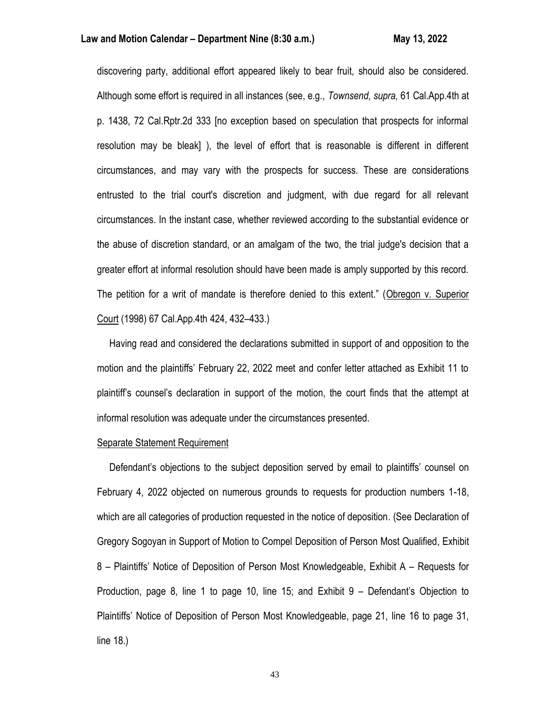discovering party, additional effort appeared likely to bear fruit, should also be considered. Although some effort is required in all instances (see, e.g., *Townsend, supra,* 61 Cal.App.4th at p. 1438, 72 Cal.Rptr.2d 333 [no exception based on speculation that prospects for informal resolution may be bleak] ), the level of effort that is reasonable is different in different circumstances, and may vary with the prospects for success. These are considerations entrusted to the trial court's discretion and judgment, with due regard for all relevant circumstances. In the instant case, whether reviewed according to the substantial evidence or the abuse of discretion standard, or an amalgam of the two, the trial judge's decision that a greater effort at informal resolution should have been made is amply supported by this record. The petition for a writ of mandate is therefore denied to this extent." (Obregon v. Superior Court (1998) 67 Cal.App.4th 424, 432–433.)

 Having read and considered the declarations submitted in support of and opposition to the motion and the plaintiffs' February 22, 2022 meet and confer letter attached as Exhibit 11 to plaintiff's counsel's declaration in support of the motion, the court finds that the attempt at informal resolution was adequate under the circumstances presented.

## Separate Statement Requirement

 Defendant's objections to the subject deposition served by email to plaintiffs' counsel on February 4, 2022 objected on numerous grounds to requests for production numbers 1-18, which are all categories of production requested in the notice of deposition. (See Declaration of Gregory Sogoyan in Support of Motion to Compel Deposition of Person Most Qualified, Exhibit 8 – Plaintiffs' Notice of Deposition of Person Most Knowledgeable, Exhibit A – Requests for Production, page 8, line 1 to page 10, line 15; and Exhibit 9 – Defendant's Objection to Plaintiffs' Notice of Deposition of Person Most Knowledgeable, page 21, line 16 to page 31, line 18.)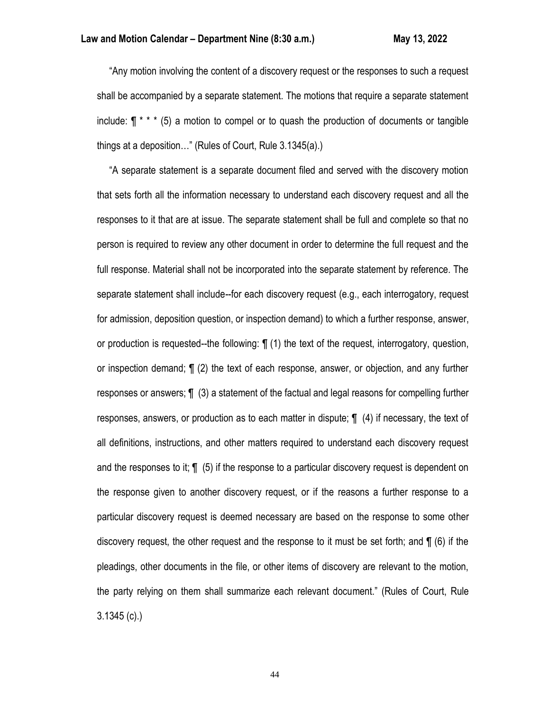"Any motion involving the content of a discovery request or the responses to such a request shall be accompanied by a separate statement. The motions that require a separate statement include:  $\P$  \* \*  $*$  (5) a motion to compel or to quash the production of documents or tangible things at a deposition…" (Rules of Court, Rule 3.1345(a).)

 "A separate statement is a separate document filed and served with the discovery motion that sets forth all the information necessary to understand each discovery request and all the responses to it that are at issue. The separate statement shall be full and complete so that no person is required to review any other document in order to determine the full request and the full response. Material shall not be incorporated into the separate statement by reference. The separate statement shall include--for each discovery request (e.g., each interrogatory, request for admission, deposition question, or inspection demand) to which a further response, answer, or production is requested--the following: ¶ (1) the text of the request, interrogatory, question, or inspection demand; ¶ (2) the text of each response, answer, or objection, and any further responses or answers; ¶ (3) a statement of the factual and legal reasons for compelling further responses, answers, or production as to each matter in dispute; ¶ (4) if necessary, the text of all definitions, instructions, and other matters required to understand each discovery request and the responses to it; ¶ (5) if the response to a particular discovery request is dependent on the response given to another discovery request, or if the reasons a further response to a particular discovery request is deemed necessary are based on the response to some other discovery request, the other request and the response to it must be set forth; and ¶ (6) if the pleadings, other documents in the file, or other items of discovery are relevant to the motion, the party relying on them shall summarize each relevant document." (Rules of Court, Rule 3.1345 (c).)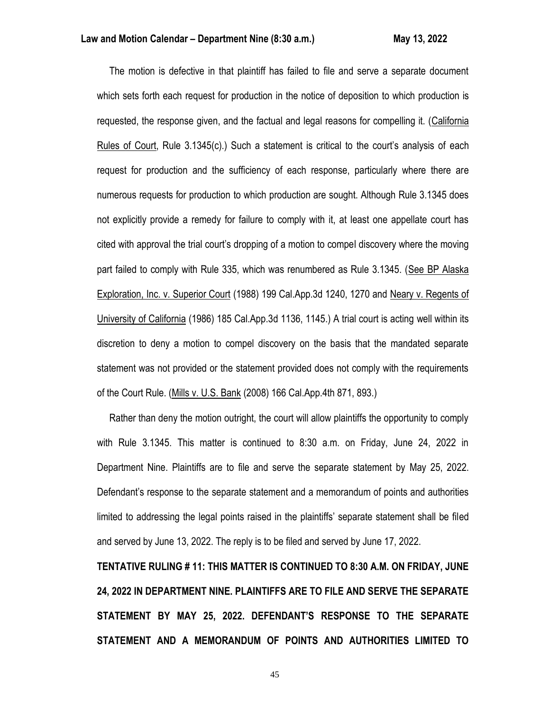The motion is defective in that plaintiff has failed to file and serve a separate document which sets forth each request for production in the notice of deposition to which production is requested, the response given, and the factual and legal reasons for compelling it. (California Rules of Court, Rule 3.1345(c).) Such a statement is critical to the court's analysis of each request for production and the sufficiency of each response, particularly where there are numerous requests for production to which production are sought. Although Rule 3.1345 does not explicitly provide a remedy for failure to comply with it, at least one appellate court has cited with approval the trial court's dropping of a motion to compel discovery where the moving part failed to comply with Rule 335, which was renumbered as Rule 3.1345. (See BP Alaska Exploration, Inc. v. Superior Court (1988) 199 Cal.App.3d 1240, 1270 and Neary v. Regents of University of California (1986) 185 Cal.App.3d 1136, 1145.) A trial court is acting well within its discretion to deny a motion to compel discovery on the basis that the mandated separate statement was not provided or the statement provided does not comply with the requirements of the Court Rule. (Mills v. U.S. Bank (2008) 166 Cal.App.4th 871, 893.)

 Rather than deny the motion outright, the court will allow plaintiffs the opportunity to comply with Rule 3.1345. This matter is continued to 8:30 a.m. on Friday, June 24, 2022 in Department Nine. Plaintiffs are to file and serve the separate statement by May 25, 2022. Defendant's response to the separate statement and a memorandum of points and authorities limited to addressing the legal points raised in the plaintiffs' separate statement shall be filed and served by June 13, 2022. The reply is to be filed and served by June 17, 2022.

**TENTATIVE RULING # 11: THIS MATTER IS CONTINUED TO 8:30 A.M. ON FRIDAY, JUNE 24, 2022 IN DEPARTMENT NINE. PLAINTIFFS ARE TO FILE AND SERVE THE SEPARATE STATEMENT BY MAY 25, 2022. DEFENDANT'S RESPONSE TO THE SEPARATE STATEMENT AND A MEMORANDUM OF POINTS AND AUTHORITIES LIMITED TO**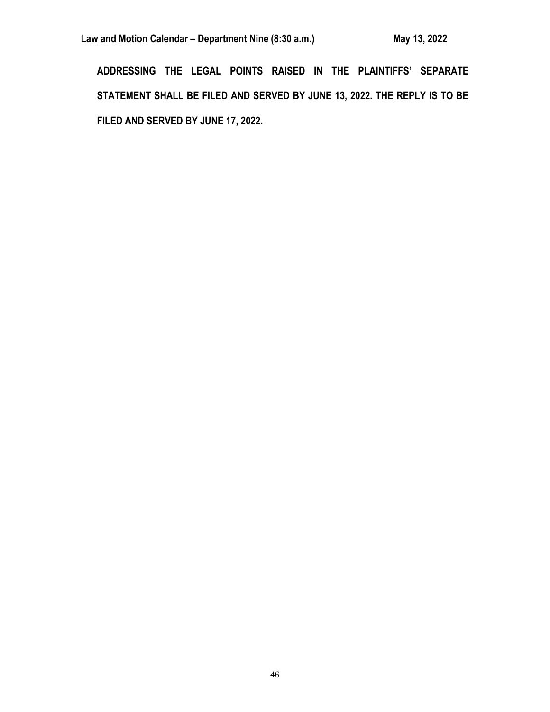**ADDRESSING THE LEGAL POINTS RAISED IN THE PLAINTIFFS' SEPARATE STATEMENT SHALL BE FILED AND SERVED BY JUNE 13, 2022. THE REPLY IS TO BE FILED AND SERVED BY JUNE 17, 2022.**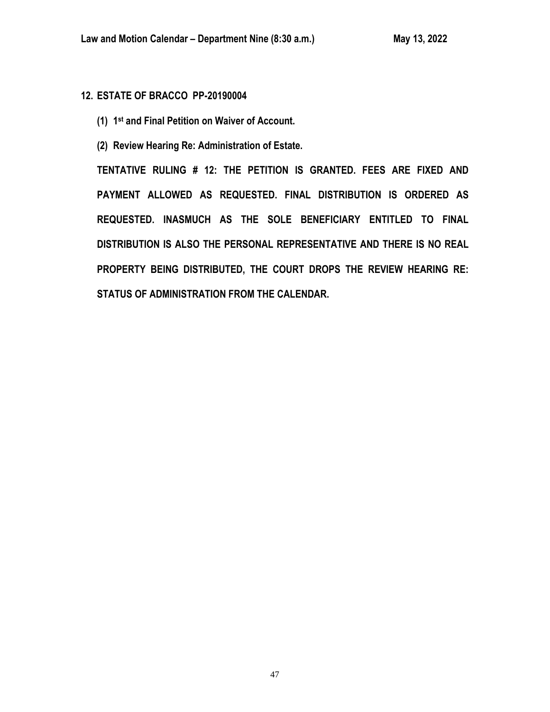# **12. ESTATE OF BRACCO PP-20190004**

- **(1) 1 st and Final Petition on Waiver of Account.**
- **(2) Review Hearing Re: Administration of Estate.**

**TENTATIVE RULING # 12: THE PETITION IS GRANTED. FEES ARE FIXED AND PAYMENT ALLOWED AS REQUESTED. FINAL DISTRIBUTION IS ORDERED AS REQUESTED. INASMUCH AS THE SOLE BENEFICIARY ENTITLED TO FINAL DISTRIBUTION IS ALSO THE PERSONAL REPRESENTATIVE AND THERE IS NO REAL PROPERTY BEING DISTRIBUTED, THE COURT DROPS THE REVIEW HEARING RE: STATUS OF ADMINISTRATION FROM THE CALENDAR.**